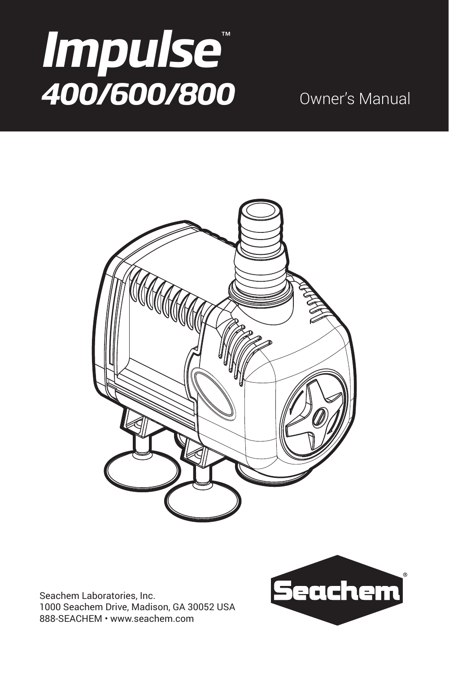# *Impulse* ™ *400/600/800* Owner's Manual



Seachem Laboratories, Inc. 1000 Seachem Drive, Madison, GA 30052 USA 888-SEACHEM • www.seachem.com

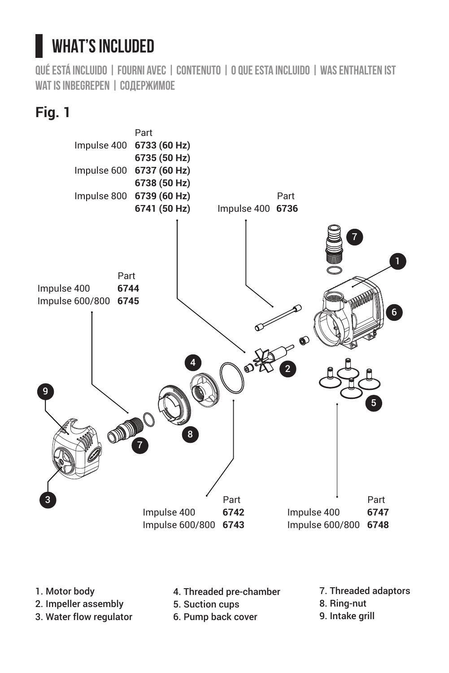## **WHAT'S INCLUDED**

**Qué está incluido | Fourni avec | Contenuto | O que esta incluido | Was enthalten ist Wat is inbegrepen | Содержимое**

### **Fig. 1**



- 1. Motor body
- 2. Impeller assembly
- 3. Water flow regulator
- 4. Threaded pre-chamber
- 5. Suction cups
- 6. Pump back cover
- 7. Threaded adaptors
- 8. Ring-nut
- 9. Intake grill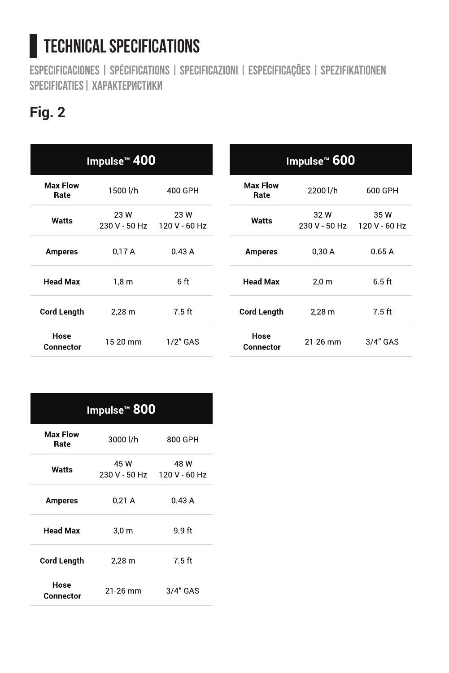## **TECHNICAL SPECIFICATIONS**

**Especificaciones | Spécifications | specificazioni | Especificações | Spezifikationen Specificaties| Характеристики**

### **Fig. 2**

| Impulse™ 400            |                     |                       |                         | Impulse™ 600        |                     |  |
|-------------------------|---------------------|-----------------------|-------------------------|---------------------|---------------------|--|
| <b>Max Flow</b><br>Rate | 1500 l/h            | 400 GPH               | <b>Max Flow</b><br>Rate | 2200 l/h            | 600 GPH             |  |
| Watts                   | 23 W<br>230 V 50 Hz | 23 W<br>120 V - 60 Hz | Watts                   | 32 W<br>230 V 50 Hz | 35 W<br>120 V 60 Hz |  |
| <b>Amperes</b>          | 0.17A               | 0.43A                 | <b>Amperes</b>          | 0.30A               | 0.65A               |  |
| <b>Head Max</b>         | 1.8 <sub>m</sub>    | 6 ft                  | <b>Head Max</b>         | 2.0 <sub>m</sub>    | 6.5 ft              |  |
| <b>Cord Length</b>      | 2.28 <sub>m</sub>   | 7.5 ft                | <b>Cord Length</b>      | $2.28$ m            | 7.5 ft              |  |
| Hose<br>Connector       | 15-20 mm            | $1/2$ " GAS           | Hose<br>Connector       | 21-26 mm            | 3/4" GAS            |  |

| Impulse™ 800            |                                     |          |  |  |  |
|-------------------------|-------------------------------------|----------|--|--|--|
| <b>Max Flow</b><br>Rate | 3000 Vh                             | 800 GPH  |  |  |  |
| Watts                   | 45 W<br>230 V - 50 Hz 120 V - 60 Hz | 48 W     |  |  |  |
| Amperes                 | 0.21A                               | 0.43A    |  |  |  |
| <b>Head Max</b>         | 3.0 <sub>m</sub>                    | 9.9 ft   |  |  |  |
| <b>Cord Lenath</b>      | 2.28 m                              | 7.5 ft   |  |  |  |
| Hose<br>Connector       | 21-26 mm                            | 3/4" GAS |  |  |  |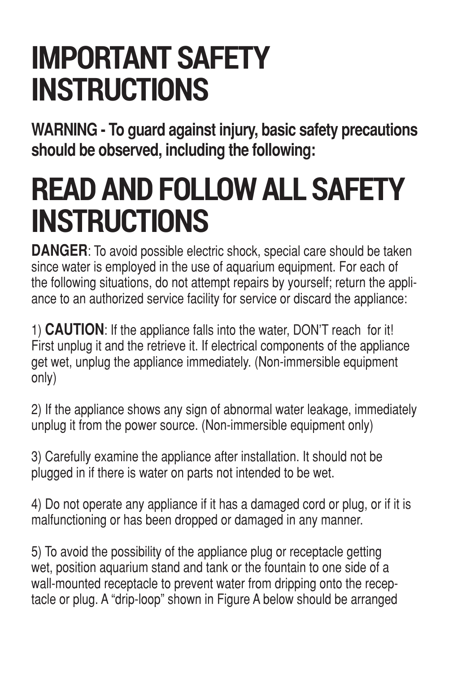## **IMPORTANT SAFETY INSTRUCTIONS**

**WARNING - To guard against injury, basic safety precautions should be observed, including the following:**

## **READ AND FOLLOW ALL SAFETY INSTRUCTIONS**

**DANGER**: To avoid possible electric shock, special care should be taken since water is employed in the use of aquarium equipment. For each of the following situations, do not attempt repairs by yourself; return the appliance to an authorized service facility for service or discard the appliance:

1) **CAUTION**: If the appliance falls into the water, DON'T reach for it! First unplug it and the retrieve it. If electrical components of the appliance get wet, unplug the appliance immediately. (Non-immersible equipment only)

2) If the appliance shows any sign of abnormal water leakage, immediately unplug it from the power source. (Non-immersible equipment only)

3) Carefully examine the appliance after installation. It should not be plugged in if there is water on parts not intended to be wet.

4) Do not operate any appliance if it has a damaged cord or plug, or if it is malfunctioning or has been dropped or damaged in any manner.

5) To avoid the possibility of the appliance plug or receptacle getting wet, position aquarium stand and tank or the fountain to one side of a wall-mounted receptacle to prevent water from dripping onto the receptacle or plug. A "drip-loop" shown in Figure A below should be arranged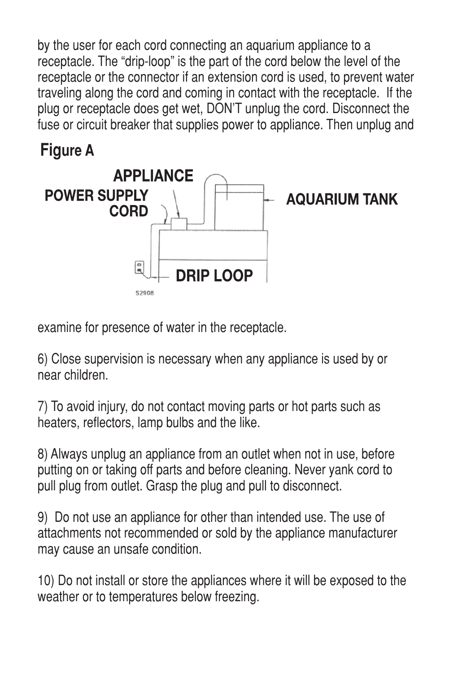by the user for each cord connecting an aquarium appliance to a receptacle. The "drip-loop" is the part of the cord below the level of the receptacle or the connector if an extension cord is used, to prevent water traveling along the cord and coming in contact with the receptacle. If the plug or receptacle does get wet, DON'T unplug the cord. Disconnect the fuse or circuit breaker that supplies power to appliance. Then unplug and





examine for presence of water in the receptacle.

6) Close supervision is necessary when any appliance is used by or near children.

7) To avoid injury, do not contact moving parts or hot parts such as heaters, reflectors, lamp bulbs and the like.

8) Always unplug an appliance from an outlet when not in use, before putting on or taking off parts and before cleaning. Never yank cord to pull plug from outlet. Grasp the plug and pull to disconnect.

9) Do not use an appliance for other than intended use. The use of attachments not recommended or sold by the appliance manufacturer may cause an unsafe condition.

10) Do not install or store the appliances where it will be exposed to the weather or to temperatures below freezing.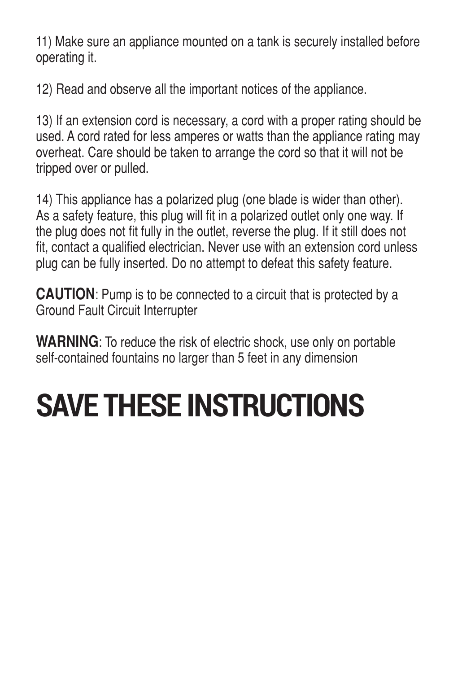11) Make sure an appliance mounted on a tank is securely installed before operating it.

12) Read and observe all the important notices of the appliance.

13) If an extension cord is necessary, a cord with a proper rating should be used. A cord rated for less amperes or watts than the appliance rating may overheat. Care should be taken to arrange the cord so that it will not be tripped over or pulled.

14) This appliance has a polarized plug (one blade is wider than other). As a safety feature, this plug will fit in a polarized outlet only one way. If the plug does not fit fully in the outlet, reverse the plug. If it still does not fit, contact a qualified electrician. Never use with an extension cord unless plug can be fully inserted. Do no attempt to defeat this safety feature.

**CAUTION**: Pump is to be connected to a circuit that is protected by a Ground Fault Circuit Interrupter

**WARNING**: To reduce the risk of electric shock, use only on portable self-contained fountains no larger than 5 feet in any dimension

# **SAVE THESE INSTRUCTIONS**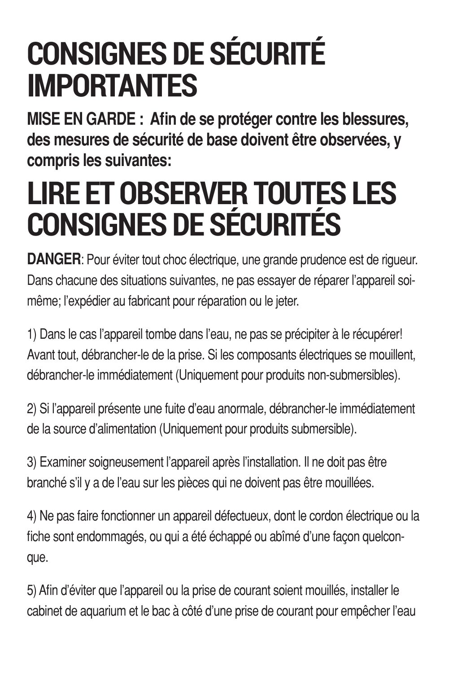## **CONSIGNES DE SÉCURITÉ IMPORTANTES**

**MISE EN GARDE : Afin de se protéger contre les blessures, des mesures de sécurité de base doivent être observées, y compris les suivantes:**

## **LIRE ET OBSERVER TOUTES LES CONSIGNES DE SÉCURITÉS**

**DANGER:** Pour éviter tout choc électrique, une grande prudence est de riqueur. Dans chacune des situations suivantes, ne pas essayer de réparer l'appareil soimême; l'expédier au fabricant pour réparation ou le jeter.

1) Dans le cas l'appareil tombe dans l'eau, ne pas se précipiter à le récupérer! Avant tout, débrancher-le de la prise. Si les composants électriques se mouillent, débrancher-le immédiatement (Uniquement pour produits non-submersibles).

2) Si l'appareil présente une fuite d'eau anormale, débrancher-le immédiatement de la source d'alimentation (Uniquement pour produits submersible).

3) Examiner soigneusement l'appareil après l'installation. Il ne doit pas être branché s'il y a de l'eau sur les pièces qui ne doivent pas être mouillées.

4) Ne pas faire fonctionner un appareil défectueux, dont le cordon électrique ou la fiche sont endommagés, ou qui a été échappé ou abîmé d'une façon quelconque.

5) Afin d'éviter que l'appareil ou la prise de courant soient mouillés, installer le cabinet de aquarium et le bac à côté d'une prise de courant pour empêcher l'eau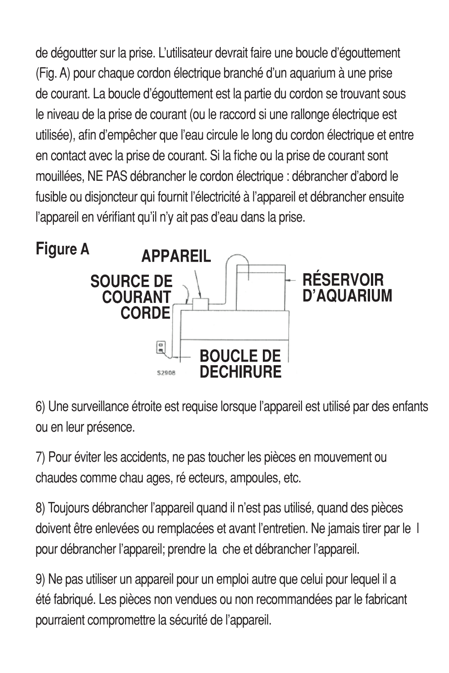de dégoutter sur la prise. L'utilisateur devrait faire une boucle d'égouttement (Fig. A) pour chaque cordon électrique branché d'un aquarium à une prise de courant. La boucle d'égouttement est la partie du cordon se trouvant sous le niveau de la prise de courant (ou le raccord si une rallonge électrique est utilisée), afin d'empêcher que l'eau circule le long du cordon électrique et entre en contact avec la prise de courant. Si la fiche ou la prise de courant sont mouillées, NE PAS débrancher le cordon électrique : débrancher d'abord le fusible ou disjoncteur qui fournit l'électricité à l'appareil et débrancher ensuite l'appareil en vérifiant qu'il n'y ait pas d'eau dans la prise.



6) Une surveillance étroite est requise lorsque l'appareil est utilisé par des enfants ou en leur présence.

7) Pour éviter les accidents, ne pas toucher les pièces en mouvement ou chaudes comme chau ages, ré ecteurs, ampoules, etc.

8) Toujours débrancher l'appareil quand il n'est pas utilisé, quand des pièces doivent être enlevées ou remplacées et avant l'entretien. Ne jamais tirer par le l pour débrancher l'appareil; prendre la che et débrancher l'appareil.

9) Ne pas utiliser un appareil pour un emploi autre que celui pour lequel il a été fabriqué. Les pièces non vendues ou non recommandées par le fabricant pourraient compromettre la sécurité de l'appareil.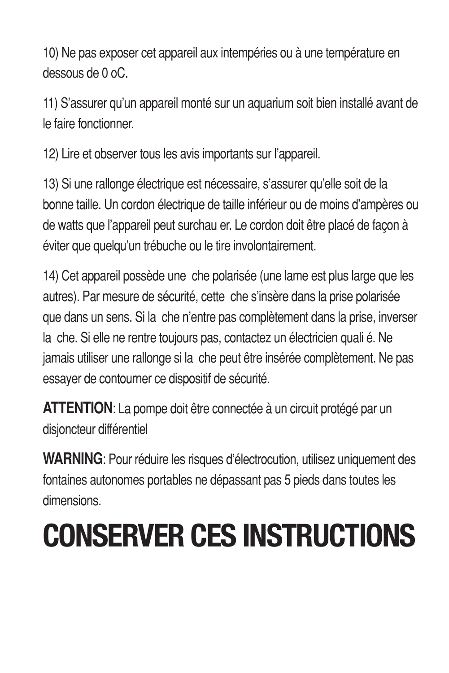10) Ne pas exposer cet appareil aux intempéries ou à une température en dessous de 0 oC.

11) S'assurer qu'un appareil monté sur un aquarium soit bien installé avant de le faire fonctionner.

12) Lire et observer tous les avis importants sur l'appareil.

13) Si une rallonge électrique est nécessaire, s'assurer qu'elle soit de la bonne taille. Un cordon électrique de taille inférieur ou de moins d'ampères ou de watts que l'appareil peut surchau er. Le cordon doit être placé de façon à éviter que quelqu'un trébuche ou le tire involontairement.

14) Cet appareil possède une che polarisée (une lame est plus large que les autres). Par mesure de sécurité, cette che s'insère dans la prise polarisée que dans un sens. Si la che n'entre pas complètement dans la prise, inverser la che. Si elle ne rentre toujours pas, contactez un électricien quali é. Ne jamais utiliser une rallonge si la che peut être insérée complètement. Ne pas essayer de contourner ce dispositif de sécurité.

**ATTENTION**: La pompe doit être connectée à un circuit protégé par un disjoncteur différentiel

**WARNING**: Pour réduire les risques d'électrocution, utilisez uniquement des fontaines autonomes portables ne dépassant pas 5 pieds dans toutes les dimensions.

# **CONSERVER CES INSTRUCTIONS**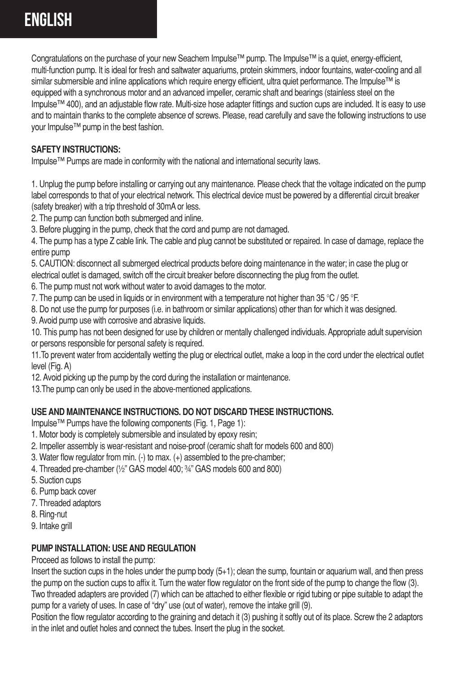Congratulations on the purchase of your new Seachem Impulse™ pump. The Impulse™ is a quiet, energy-efficient, multi-function pump. It is ideal for fresh and saltwater aquariums, protein skimmers, indoor fountains, water-cooling and all similar submersible and inline applications which require energy efficient, ultra quiet performance. The Impulse™ is equipped with a synchronous motor and an advanced impeller, ceramic shaft and bearings (stainless steel on the Impulse™ 400), and an adjustable flow rate. Multi-size hose adapter fittings and suction cups are included. It is easy to use and to maintain thanks to the complete absence of screws. Please, read carefully and save the following instructions to use your Impulse™ pump in the best fashion.

#### **SAFETY INSTRUCTIONS:**

Impulse™ Pumps are made in conformity with the national and international security laws.

1. Unplug the pump before installing or carrying out any maintenance. Please check that the voltage indicated on the pump label corresponds to that of your electrical network. This electrical device must be powered by a differential circuit breaker (safety breaker) with a trip threshold of 30mA or less.

2. The pump can function both submerged and inline.

3. Before plugging in the pump, check that the cord and pump are not damaged.

4. The pump has a type Z cable link. The cable and plug cannot be substituted or repaired. In case of damage, replace the entire numn

5. CAUTION: disconnect all submerged electrical products before doing maintenance in the water; in case the plug or electrical outlet is damaged, switch off the circuit breaker before disconnecting the plug from the outlet.

6. The pump must not work without water to avoid damages to the motor.

7. The pump can be used in liquids or in environment with a temperature not higher than 35 °C / 95 °F.

8. Do not use the pump for purposes (i.e. in bathroom or similar applications) other than for which it was designed.

9. Avoid pump use with corrosive and abrasive liquids.

10. This pump has not been designed for use by children or mentally challenged individuals. Appropriate adult supervision or persons responsible for personal safety is required.

11.To prevent water from accidentally wetting the plug or electrical outlet, make a loop in the cord under the electrical outlet level (Fig. A)

12. Avoid picking up the pump by the cord during the installation or maintenance.

13.The pump can only be used in the above-mentioned applications.

#### **USE AND MAINTENANCE INSTRUCTIONS. DO NOT DISCARD THESE INSTRUCTIONS.**

Impulse™ Pumps have the following components (Fig. 1, Page 1):

- 1. Motor body is completely submersible and insulated by epoxy resin;
- 2. Impeller assembly is wear-resistant and noise-proof (ceramic shaft for models 600 and 800)
- 3. Water flow regulator from min. (-) to max. (+) assembled to the pre-chamber;
- 4. Threaded pre-chamber (½" GAS model 400; ¾" GAS models 600 and 800)
- 5. Suction cups
- 6. Pump back cover
- 7. Threaded adaptors
- 8. Ring-nut
- 9. Intake grill

#### **PUMP INSTALLATION: USE AND REGULATION**

Proceed as follows to install the pump:

Insert the suction cups in the holes under the pump body (5+1); clean the sump, fountain or aquarium wall, and then press the pump on the suction cups to affix it. Turn the water flow regulator on the front side of the pump to change the flow (3). Two threaded adapters are provided (7) which can be attached to either flexible or rigid tubing or pipe suitable to adapt the

pump for a variety of uses. In case of "dry" use (out of water), remove the intake grill (9).

Position the flow regulator according to the graining and detach it (3) pushing it softly out of its place. Screw the 2 adaptors in the inlet and outlet holes and connect the tubes. Insert the plug in the socket.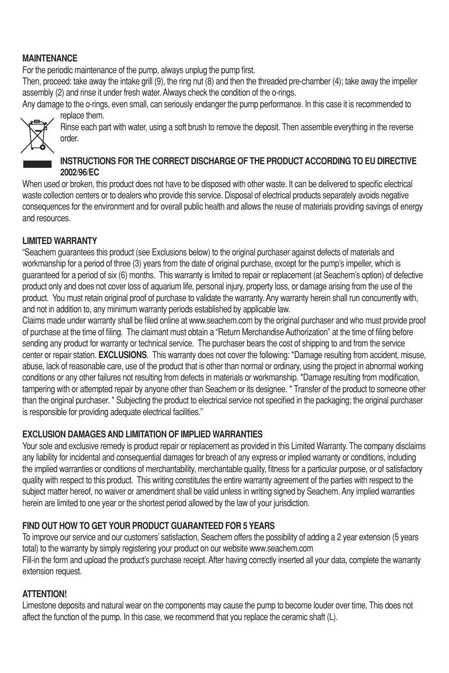#### **MAINTENANCE**

For the periodic maintenance of the pump, always unplug the pump first.

Then, proceed: take away the intake grill (9), the ring nut (8) and then the threaded pre-chamber (4); take away the impeller assembly (2) and rinse it under fresh water. Always check the condition of the o-rings.

Any damage to the o-rings, even small, can seriously endanger the pump performance. In this case it is recommended to replace them.



Rinse each part with water, using a soft brush to remove the deposit. Then assemble everything in the reverse order.

#### **INSTRUCTIONS FOR THE CORRECT DISCHARGE OF THE PRODUCT ACCORDING TO EU DIRECTIVE 2002/96/EC**

When used or broken, this product does not have to be disposed with other waste. It can be delivered to specific electrical waste collection centers or to dealers who provide this service. Disposal of electrical products separately avoids negative consequences for the environment and for overall public health and allows the reuse of materials providing savings of energy and resources.

#### **LIMITED WARRANTY**

"Seachem guarantees this product (see Exclusions below) to the original purchaser against defects of materials and workmanship for a period of three (3) years from the date of original purchase, except for the pump's impeller, which is guaranteed for a period of six (6) months. This warranty is limited to repair or replacement (at Seachem's option) of defective product only and does not cover loss of aquarium life, personal injury, property loss, or damage arising from the use of the product. You must retain original proof of purchase to validate the warranty. Any warranty herein shall run concurrently with, and not in addition to, any minimum warranty periods established by applicable law.

Claims made under warranty shall be filed online at www.seachem.com by the original purchaser and who must provide proof of purchase at the time of filing. The claimant must obtain a "Return Merchandise Authorization" at the time of filing before sending any product for warranty or technical service. The purchaser bears the cost of shipping to and from the service center or repair station. **EXCLUSIONS**. This warranty does not cover the following: \*Damage resulting from accident, misuse, abuse, lack of reasonable care, use of the product that is other than normal or ordinary, using the project in abnormal working conditions or any other failures not resulting from defects in materials or workmanship. \*Damage resulting from modification, tampering with or attempted repair by anyone other than Seachem or its designee. \* Transfer of the product to someone other than the original purchaser. \* Subjecting the product to electrical service not specified in the packaging; the original purchaser is responsible for providing adequate electrical facilities."

#### **EXCLUSION DAMAGES AND LIMITATION OF IMPLIED WARRANTIES**

Your sole and exclusive remedy is product repair or replacement as provided in this Limited Warranty. The company disclaims any liability for incidental and consequential damages for breach of any express or implied warranty or conditions, including the implied warranties or conditions of merchantability, merchantable quality, fitness for a particular purpose, or of satisfactory quality with respect to this product. This writing constitutes the entire warranty agreement of the parties with respect to the subject matter hereof, no waiver or amendment shall be valid unless in writing signed by Seachem. Any implied warranties herein are limited to one year or the shortest period allowed by the law of your jurisdiction.

#### **FIND OUT HOW TO GET YOUR PRODUCT GUARANTEED FOR 5 YEARS**

To improve our service and our customers' satisfaction, Seachem offers the possibility of adding a 2 year extension (5 years total) to the warranty by simply registering your product on our website www.seachem.com Fill-in the form and upload the product's purchase receipt. After having correctly inserted all your data, complete the warranty extension request.

#### **ATTENTION!**

Limestone deposits and natural wear on the components may cause the pump to become louder over time. This does not affect the function of the pump. In this case, we recommend that you replace the ceramic shaft (L).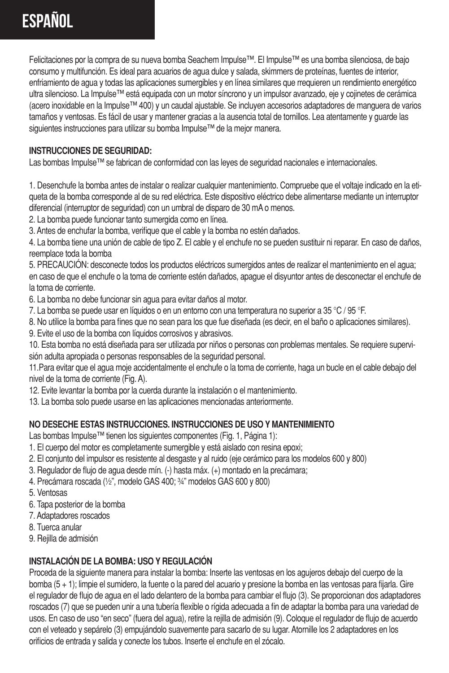## **Español**

Felicitaciones por la compra de su nueva bomba Seachem Impulse™. El Impulse™ es una bomba silenciosa, de bajo consumo y multifunción. Es ideal para acuarios de agua dulce y salada, skimmers de proteínas, fuentes de interior, enfriamiento de agua y todas las aplicaciones sumergibles y en línea similares que rrequieren un rendimiento energético ultra silencioso. La Impulse™ está equipada con un motor síncrono y un impulsor avanzado, eje y cojinetes de cerámica (acero inoxidable en la Impulse™ 400) y un caudal ajustable. Se incluyen accesorios adaptadores de manguera de varios tamaños y ventosas. Es fácil de usar y mantener gracias a la ausencia total de tornillos. Lea atentamente y guarde las siguientes instrucciones para utilizar su bomba Impulse™ de la mejor manera.

#### **INSTRUCCIONES DE SEGURIDAD:**

Las bombas Impulse™ se fabrican de conformidad con las leyes de seguridad nacionales e internacionales.

1. Desenchufe la bomba antes de instalar o realizar cualquier mantenimiento. Compruebe que el voltaje indicado en la etiqueta de la bomba corresponde al de su red eléctrica. Este dispositivo eléctrico debe alimentarse mediante un interruptor diferencial (interruptor de seguridad) con un umbral de disparo de 30 mA o menos.

2. La bomba puede funcionar tanto sumergida como en línea.

3. Antes de enchufar la bomba, verifique que el cable y la bomba no estén dañados.

4. La bomba tiene una unión de cable de tipo Z. El cable y el enchufe no se pueden sustituir ni reparar. En caso de daños, reemplace toda la bomba

5. PRECAUCIÓN: desconecte todos los productos eléctricos sumergidos antes de realizar el mantenimiento en el agua; en caso de que el enchufe o la toma de corriente estén dañados, apague el disyuntor antes de desconectar el enchufe de la toma de corriente.

6. La bomba no debe funcionar sin agua para evitar daños al motor.

7. La bomba se puede usar en líquidos o en un entorno con una temperatura no superior a 35 °C / 95 °F.

- 8. No utilice la bomba para fines que no sean para los que fue diseñada (es decir, en el baño o aplicaciones similares).
- 9. Evite el uso de la bomba con líquidos corrosivos y abrasivos.

10. Esta bomba no está diseñada para ser utilizada por niños o personas con problemas mentales. Se requiere supervisión adulta apropiada o personas responsables de la seguridad personal.

11.Para evitar que el agua moje accidentalmente el enchufe o la toma de corriente, haga un bucle en el cable debajo del nivel de la toma de corriente (Fig. A).

12. Evite levantar la bomba por la cuerda durante la instalación o el mantenimiento.

13. La bomba solo puede usarse en las aplicaciones mencionadas anteriormente.

#### **NO DESECHE ESTAS INSTRUCCIONES. INSTRUCCIONES DE USO Y MANTENIMIENTO**

Las bombas Impulse™ tienen los siguientes componentes (Fig. 1, Página 1):

- 1. El cuerpo del motor es completamente sumergible y está aislado con resina epoxi;
- 2. El conjunto del impulsor es resistente al desgaste y al ruido (eje cerámico para los modelos 600 y 800)
- 3. Regulador de flujo de agua desde mín. (-) hasta máx. (+) montado en la precámara;
- 4. Precámara roscada (½", modelo GAS 400; ¾" modelos GAS 600 y 800)
- 5. Ventosas
- 6. Tapa posterior de la bomba
- 7. Adaptadores roscados
- 8. Tuerca anular
- 9. Rejilla de admisión

#### **INSTALACIÓN DE LA BOMBA: USO Y REGULACIÓN**

Proceda de la siguiente manera para instalar la bomba: Inserte las ventosas en los agujeros debajo del cuerpo de la bomba (5 + 1); limpie el sumidero, la fuente o la pared del acuario y presione la bomba en las ventosas para fijarla. Gire el regulador de flujo de agua en el lado delantero de la bomba para cambiar el flujo (3). Se proporcionan dos adaptadores roscados (7) que se pueden unir a una tubería flexible o rígida adecuada a fin de adaptar la bomba para una variedad de usos. En caso de uso "en seco" (fuera del agua), retire la rejilla de admisión (9). Coloque el regulador de flujo de acuerdo con el veteado y sepárelo (3) empujándolo suavemente para sacarlo de su lugar. Atornille los 2 adaptadores en los orificios de entrada y salida y conecte los tubos. Inserte el enchufe en el zócalo.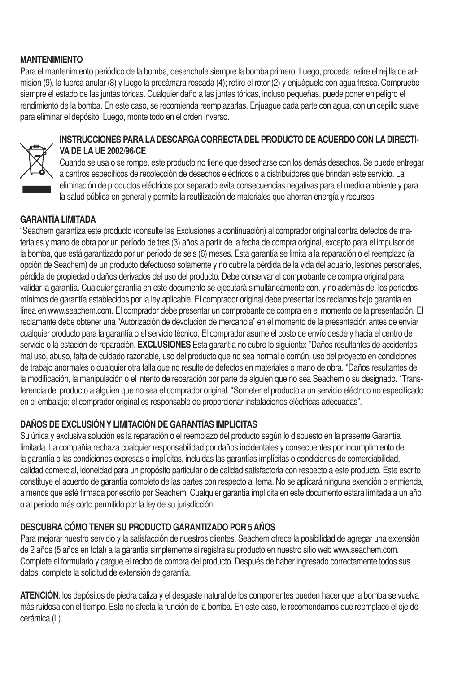#### **MANTENIMIENTO**

Para el mantenimiento periódico de la bomba, desenchufe siempre la bomba primero. Luego, proceda: retire el rejilla de admisión (9), la tuerca anular (8) y luego la precámara roscada (4); retire el rotor (2) y enjuáguelo con agua fresca. Compruebe siempre el estado de las juntas tóricas. Cualquier daño a las juntas tóricas, incluso pequeñas, puede poner en peligro el rendimiento de la bomba. En este caso, se recomienda reemplazarlas. Enjuague cada parte con agua, con un cepillo suave para eliminar el depósito. Luego, monte todo en el orden inverso.



#### **INSTRUCCIONES PARA LA DESCARGA CORRECTA DEL PRODUCTO DE ACUERDO CON LA DIRECTI-VA DE LA UE 2002/96/CE**

Cuando se usa o se rompe, este producto no tiene que desecharse con los demás desechos. Se puede entregar a centros específicos de recolección de desechos eléctricos o a distribuidores que brindan este servicio. La eliminación de productos eléctricos por separado evita consecuencias negativas para el medio ambiente y para la salud pública en general y permite la reutilización de materiales que ahorran energía y recursos.

#### **GARANTÍA LIMITADA**

"Seachem garantiza este producto (consulte las Exclusiones a continuación) al comprador original contra defectos de materiales y mano de obra por un período de tres (3) años a partir de la fecha de compra original, excepto para el impulsor de la bomba, que está garantizado por un período de seis (6) meses. Esta garantía se limita a la reparación o el reemplazo (a opción de Seachem) de un producto defectuoso solamente y no cubre la pérdida de la vida del acuario, lesiones personales, pérdida de propiedad o daños derivados del uso del producto. Debe conservar el comprobante de compra original para validar la garantía. Cualquier garantía en este documento se ejecutará simultáneamente con, y no además de, los períodos mínimos de garantía establecidos por la ley aplicable. El comprador original debe presentar los reclamos bajo garantía en línea en www.seachem.com. El comprador debe presentar un comprobante de compra en el momento de la presentación. El reclamante debe obtener una "Autorización de devolución de mercancía" en el momento de la presentación antes de enviar cualquier producto para la garantía o el servicio técnico. El comprador asume el costo de envío desde y hacia el centro de servicio o la estación de reparación. **EXCLUSIONES** Esta garantía no cubre lo siguiente: \*Daños resultantes de accidentes, mal uso, abuso, falta de cuidado razonable, uso del producto que no sea normal o común, uso del proyecto en condiciones de trabajo anormales o cualquier otra falla que no resulte de defectos en materiales o mano de obra. \*Daños resultantes de la modificación, la manipulación o el intento de reparación por parte de alguien que no sea Seachem o su designado. \*Transferencia del producto a alguien que no sea el comprador original. \*Someter el producto a un servicio eléctrico no especificado en el embalaje; el comprador original es responsable de proporcionar instalaciones eléctricas adecuadas".

#### **DAÑOS DE EXCLUSIÓN Y LIMITACIÓN DE GARANTÍAS IMPLÍCITAS**

Su única y exclusiva solución es la reparación o el reemplazo del producto según lo dispuesto en la presente Garantía limitada. La compañía rechaza cualquier responsabilidad por daños incidentales y consecuentes por incumplimiento de la garantía o las condiciones expresas o implícitas, incluidas las garantías implícitas o condiciones de comerciabilidad, calidad comercial, idoneidad para un propósito particular o de calidad satisfactoria con respecto a este producto. Este escrito constituye el acuerdo de garantía completo de las partes con respecto al tema. No se aplicará ninguna exención o enmienda, a menos que esté firmada por escrito por Seachem. Cualquier garantía implícita en este documento estará limitada a un año o al período más corto permitido por la ley de su jurisdicción.

#### **DESCUBRA CÓMO TENER SU PRODUCTO GARANTIZADO POR 5 AÑOS**

Para mejorar nuestro servicio y la satisfacción de nuestros clientes. Seachem ofrece la posibilidad de agregar una extensión de 2 años (5 años en total) a la garantía simplemente si registra su producto en nuestro sitio web www.seachem.com. Complete el formulario y cargue el recibo de compra del producto. Después de haber ingresado correctamente todos sus datos, complete la solicitud de extensión de garantía.

**ATENCIÓN**: los depósitos de piedra caliza y el desgaste natural de los componentes pueden hacer que la bomba se vuelva más ruidosa con el tiempo. Esto no afecta la función de la bomba. En este caso, le recomendamos que reemplace el eje de cerámica (L).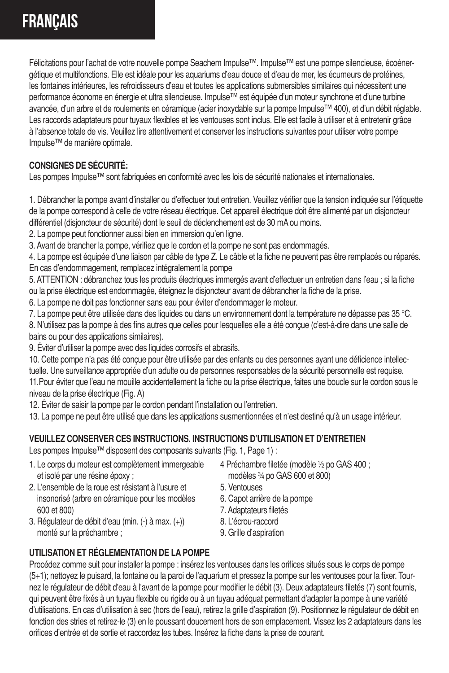Félicitations pour l'achat de votre nouvelle pompe Seachem Impulse™. Impulse™ est une pompe silencieuse, écoénergétique et multifonctions. Elle est idéale pour les aquariums d'eau douce et d'eau de mer, les écumeurs de protéines, les fontaines intérieures, les refroidisseurs d'eau et toutes les applications submersibles similaires qui nécessitent une performance économe en énergie et ultra silencieuse. Impulse™ est équipée d'un moteur synchrone et d'une turbine avancée, d'un arbre et de roulements en céramique (acier inoxydable sur la pompe Impulse™ 400), et d'un débit réglable. Les raccords adaptateurs pour tuyaux flexibles et les ventouses sont inclus. Elle est facile à utiliser et à entretenir grâce à l'absence totale de vis. Veuillez lire attentivement et conserver les instructions suivantes pour utiliser votre pompe Impulse™ de manière optimale.

#### **CONSIGNES DE SÉCURITÉ:**

Les pompes Impulse™ sont fabriquées en conformité avec les lois de sécurité nationales et internationales.

1. Débrancher la pompe avant d'installer ou d'effectuer tout entretien. Veuillez vérifier que la tension indiquée sur l'étiquette de la pompe correspond à celle de votre réseau électrique. Cet appareil électrique doit être alimenté par un disjoncteur différentiel (disjoncteur de sécurité) dont le seuil de déclenchement est de 30 mA ou moins.

2. La pompe peut fonctionner aussi bien en immersion qu'en ligne.

3. Avant de brancher la pompe, vérifiez que le cordon et la pompe ne sont pas endommagés.

4. La pompe est équipée d'une liaison par câble de type Z. Le câble et la fiche ne peuvent pas être remplacés ou réparés. En cas d'endommagement, remplacez intégralement la pompe

5. ATTENTION : débranchez tous les produits électriques immergés avant d'effectuer un entretien dans l'eau ; si la fiche ou la prise électrique est endommagée, éteignez le disjoncteur avant de débrancher la fiche de la prise.

6. La pompe ne doit pas fonctionner sans eau pour éviter d'endommager le moteur.

7. La pompe peut être utilisée dans des liquides ou dans un environnement dont la température ne dépasse pas 35 °C. 8. N'utilisez pas la pompe à des fins autres que celles pour lesquelles elle a été conçue (c'est-à-dire dans une salle de bains ou pour des applications similaires).

9. Éviter d'utiliser la pompe avec des liquides corrosifs et abrasifs.

10. Cette pompe n'a pas été conçue pour être utilisée par des enfants ou des personnes ayant une déficience intellectuelle. Une surveillance appropriée d'un adulte ou de personnes responsables de la sécurité personnelle est requise. 11.Pour éviter que l'eau ne mouille accidentellement la fiche ou la prise électrique, faites une boucle sur le cordon sous le niveau de la prise électrique (Fig. A)

12. Éviter de saisir la pompe par le cordon pendant l'installation ou l'entretien.

13. La pompe ne peut être utilisé que dans les applications susmentionnées et n'est destiné qu'à un usage intérieur.

#### **VEUILLEZ CONSERVER CES INSTRUCTIONS. INSTRUCTIONS D'UTILISATION ET D'ENTRETIEN**

Les pompes Impulse™ disposent des composants suivants (Fig. 1, Page 1) :

- 1. Le corps du moteur est complètement immergeable et isolé par une résine époxy ;
- 2. L'ensemble de la roue est résistant à l'usure et insonorisé (arbre en céramique pour les modèles 600 et 800)
- 3. Régulateur de débit d'eau (min. (-) à max. (+)) monté sur la préchambre ;
- 4 Préchambre filetée (modèle ½ po GAS 400 ;
- modèles ¾ po GAS 600 et 800)
- 5. Ventouses
- 6. Capot arrière de la pompe
- 7. Adaptateurs filetés
- 8. L'écrou-raccord
- 9. Grille d'aspiration

#### **UTILISATION ET RÉGLEMENTATION DE LA POMPE**

Procédez comme suit pour installer la pompe : insérez les ventouses dans les orifices situés sous le corps de pompe (5+1); nettoyez le puisard, la fontaine ou la paroi de l'aquarium et pressez la pompe sur les ventouses pour la fixer. Tournez le régulateur de débit d'eau à l'avant de la pompe pour modifier le débit (3). Deux adaptateurs filetés (7) sont fournis, qui peuvent être fixés à un tuyau flexible ou rigide ou à un tuyau adéquat permettant d'adapter la pompe à une variété d'utilisations. En cas d'utilisation à sec (hors de l'eau), retirez la grille d'aspiration (9). Positionnez le régulateur de débit en fonction des stries et retirez-le (3) en le poussant doucement hors de son emplacement. Vissez les 2 adaptateurs dans les orifices d'entrée et de sortie et raccordez les tubes. Insérez la fiche dans la prise de courant.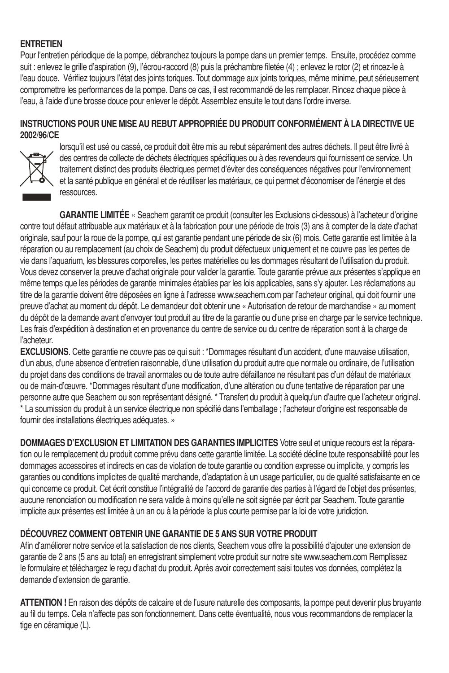#### **ENTRETIEN**

Pour l'entretien périodique de la pompe, débranchez toujours la pompe dans un premier temps. Ensuite, procédez comme suit : enlevez le grille d'aspiration (9), l'écrou-raccord (8) puis la préchambre filetée (4) ; enlevez le rotor (2) et rincez-le à l'eau douce. Vérifiez toujours l'état des joints toriques. Tout dommage aux joints toriques, même minime, peut sérieusement compromettre les performances de la pompe. Dans ce cas, il est recommandé de les remplacer. Rincez chaque pièce à l'eau, à l'aide d'une brosse douce pour enlever le dépôt. Assemblez ensuite le tout dans l'ordre inverse.

#### **INSTRUCTIONS POUR UNE MISE AU REBUT APPROPRIÉE DU PRODUIT CONFORMÉMENT À LA DIRECTIVE UE 2002/96/CE**



lorsqu'il est usé ou cassé, ce produit doit être mis au rebut séparément des autres déchets. Il peut être livré à des centres de collecte de déchets électriques spécifiques ou à des revendeurs qui fournissent ce service. Un traitement distinct des produits électriques permet d'éviter des conséquences négatives pour l'environnement et la santé publique en général et de réutiliser les matériaux, ce qui permet d'économiser de l'énergie et des ressources.

**GARANTIE LIMITÉE** « Seachem garantit ce produit (consulter les Exclusions ci-dessous) à l'acheteur d'origine contre tout défaut attribuable aux matériaux et à la fabrication pour une période de trois (3) ans à compter de la date d'achat originale, sauf pour la roue de la pompe, qui est garantie pendant une période de six (6) mois. Cette garantie est limitée à la réparation ou au remplacement (au choix de Seachem) du produit défectueux uniquement et ne couvre pas les pertes de vie dans l'aquarium, les blessures corporelles, les pertes matérielles ou les dommages résultant de l'utilisation du produit. Vous devez conserver la preuve d'achat originale pour valider la garantie. Toute garantie prévue aux présentes s'applique en même temps que les périodes de garantie minimales établies par les lois applicables, sans s'y ajouter. Les réclamations au titre de la garantie doivent être déposées en ligne à l'adresse www.seachem.com par l'acheteur original, qui doit fournir une preuve d'achat au moment du dépôt. Le demandeur doit obtenir une « Autorisation de retour de marchandise » au moment du dépôt de la demande avant d'envoyer tout produit au titre de la garantie ou d'une prise en charge par le service technique. Les frais d'expédition à destination et en provenance du centre de service ou du centre de réparation sont à la charge de l'acheteur.

**EXCLUSIONS**. Cette garantie ne couvre pas ce qui suit : \*Dommages résultant d'un accident, d'une mauvaise utilisation, d'un abus, d'une absence d'entretien raisonnable, d'une utilisation du produit autre que normale ou ordinaire, de l'utilisation du projet dans des conditions de travail anormales ou de toute autre défaillance ne résultant pas d'un défaut de matériaux ou de main-d'œuvre. \*Dommages résultant d'une modification, d'une altération ou d'une tentative de réparation par une personne autre que Seachem ou son représentant désigné. \* Transfert du produit à quelqu'un d'autre que l'acheteur original. \* La soumission du produit à un service électrique non spécifié dans l'emballage ; l'acheteur d'origine est responsable de fournir des installations électriques adéquates. »

**DOMMAGES D'EXCLUSION ET LIMITATION DES GARANTIES IMPLICITES** Votre seul et unique recours est la réparation ou le remplacement du produit comme prévu dans cette garantie limitée. La société décline toute responsabilité pour les dommages accessoires et indirects en cas de violation de toute garantie ou condition expresse ou implicite, y compris les garanties ou conditions implicites de qualité marchande, d'adaptation à un usage particulier, ou de qualité satisfaisante en ce qui concerne ce produit. Cet écrit constitue l'intégralité de l'accord de garantie des parties à l'égard de l'objet des présentes, aucune renonciation ou modification ne sera valide à moins qu'elle ne soit signée par écrit par Seachem. Toute garantie implicite aux présentes est limitée à un an ou à la période la plus courte permise par la loi de votre juridiction.

#### **DÉCOUVREZ COMMENT OBTENIR UNE GARANTIE DE 5 ANS SUR VOTRE PRODUIT**

Afin d'améliorer notre service et la satisfaction de nos clients, Seachem vous offre la possibilité d'ajouter une extension de garantie de 2 ans (5 ans au total) en enregistrant simplement votre produit sur notre site www.seachem.com Remplissez le formulaire et téléchargez le reçu d'achat du produit. Après avoir correctement saisi toutes vos données, complétez la demande d'extension de garantie.

**ATTENTION !** En raison des dépôts de calcaire et de l'usure naturelle des composants, la pompe peut devenir plus bruyante au fil du temps. Cela n'affecte pas son fonctionnement. Dans cette éventualité, nous vous recommandons de remplacer la tige en céramique (L).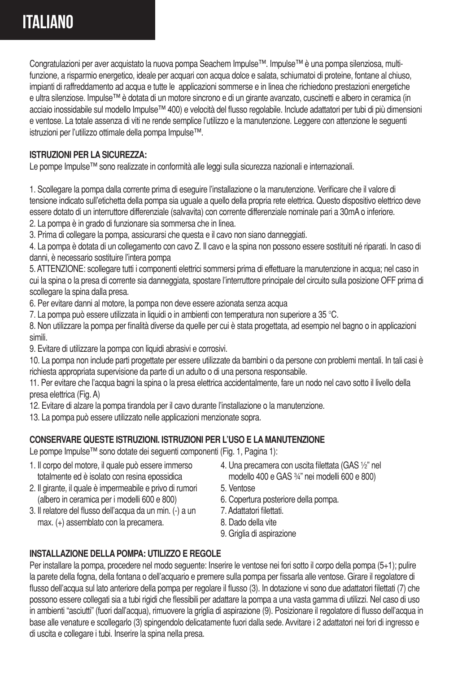### **Italiano**

Congratulazioni per aver acquistato la nuova pompa Seachem Impulse™. Impulse™ è una pompa silenziosa, multifunzione, a risparmio energetico, ideale per acquari con acqua dolce e salata, schiumatoi di proteine, fontane al chiuso, impianti di raffreddamento ad acqua e tutte le applicazioni sommerse e in linea che richiedono prestazioni energetiche e ultra silenziose. Impulse™ è dotata di un motore sincrono e di un girante avanzato, cuscinetti e albero in ceramica (in acciaio inossidabile sul modello Impulse™ 400) e velocità del flusso regolabile. Include adattatori per tubi di più dimensioni e ventose. La totale assenza di viti ne rende semplice l'utilizzo e la manutenzione. Leggere con attenzione le seguenti istruzioni per l'utilizzo ottimale della pompa Impulse™.

#### **ISTRUZIONI PER LA SICUREZZA:**

Le pompe Impulse™ sono realizzate in conformità alle leggi sulla sicurezza nazionali e internazionali.

1. Scollegare la pompa dalla corrente prima di eseguire l'installazione o la manutenzione. Verificare che il valore di tensione indicato sull'etichetta della pompa sia uguale a quello della propria rete elettrica. Questo dispositivo elettrico deve essere dotato di un interruttore differenziale (salvavita) con corrente differenziale nominale pari a 30mA o inferiore. 2. La pompa è in grado di funzionare sia sommersa che in linea.

3. Prima di collegare la pompa, assicurarsi che questa e il cavo non siano danneggiati.

4. La pompa è dotata di un collegamento con cavo Z. Il cavo e la spina non possono essere sostituiti né riparati. In caso di danni, è necessario sostituire l'intera pompa

5. ATTENZIONE: scollegare tutti i componenti elettrici sommersi prima di effettuare la manutenzione in acqua; nel caso in cui la spina o la presa di corrente sia danneggiata, spostare l'interruttore principale del circuito sulla posizione OFF prima di scollegare la spina dalla presa.

6. Per evitare danni al motore, la pompa non deve essere azionata senza acqua

7. La pompa può essere utilizzata in liquidi o in ambienti con temperatura non superiore a 35 °C.

8. Non utilizzare la pompa per finalità diverse da quelle per cui è stata progettata, ad esempio nel bagno o in applicazioni simili.

9. Evitare di utilizzare la pompa con liquidi abrasivi e corrosivi.

10. La pompa non include parti progettate per essere utilizzate da bambini o da persone con problemi mentali. In tali casi è richiesta appropriata supervisione da parte di un adulto o di una persona responsabile.

11. Per evitare che l'acqua bagni la spina o la presa elettrica accidentalmente, fare un nodo nel cavo sotto il livello della presa elettrica (Fig. A)

12. Evitare di alzare la pompa tirandola per il cavo durante l'installazione o la manutenzione.

13. La pompa può essere utilizzato nelle applicazioni menzionate sopra.

#### **CONSERVARE QUESTE ISTRUZIONI. ISTRUZIONI PER L'USO E LA MANUTENZIONE**

Le pompe Impulse™ sono dotate dei seguenti componenti (Fig. 1, Pagina 1):

- 1. Il corpo del motore, il quale può essere immerso totalmente ed è isolato con resina epossidica
- 2. Il girante, il quale è impermeabile e privo di rumori (albero in ceramica per i modelli 600 e 800)
- 3. Il relatore del flusso dell'acqua da un min. (-) a un max. (+) assemblato con la precamera.
- 4. Una precamera con uscita filettata (GAS ½" nel modello 400 e GAS ¾" nei modelli 600 e 800)
- 5. Ventose
- 6. Copertura posteriore della pompa.
- 7. Adattatori filettati.
- 8. Dado della vite
- 9. Griglia di aspirazione

#### **INSTALLAZIONE DELLA POMPA: UTILIZZO E REGOLE**

Per installare la pompa, procedere nel modo seguente: Inserire le ventose nei fori sotto il corpo della pompa (5+1); pulire la parete della fogna, della fontana o dell'acquario e premere sulla pompa per fissarla alle ventose. Girare il regolatore di flusso dell'acqua sul lato anteriore della pompa per regolare il flusso (3). In dotazione vi sono due adattatori filettati (7) che possono essere collegati sia a tubi rigidi che flessibili per adattare la pompa a una vasta gamma di utilizzi. Nel caso di uso in ambienti "asciutti" (fuori dall'acqua), rimuovere la griglia di aspirazione (9). Posizionare il regolatore di flusso dell'acqua in base alle venature e scollegarlo (3) spingendolo delicatamente fuori dalla sede. Avvitare i 2 adattatori nei fori di ingresso e di uscita e collegare i tubi. Inserire la spina nella presa.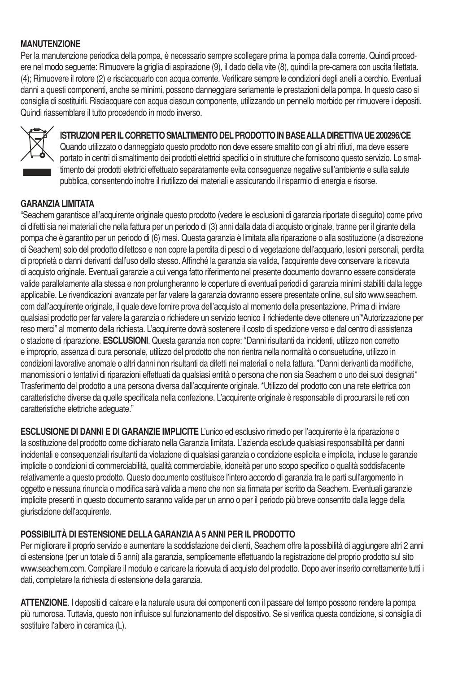#### **MANUTENZIONE**

Per la manutenzione periodica della pompa, è necessario sempre scollegare prima la pompa dalla corrente. Quindi procedere nel modo seguente: Rimuovere la griglia di aspirazione (9), il dado della vite (8), quindi la pre-camera con uscita filettata. (4); Rimuovere il rotore (2) e risciacquarlo con acqua corrente. Verificare sempre le condizioni degli anelli a cerchio. Eventuali danni a questi componenti, anche se minimi, possono danneggiare seriamente le prestazioni della pompa. In questo caso si consiglia di sostituirli. Risciacquare con acqua ciascun componente, utilizzando un pennello morbido per rimuovere i depositi. Quindi riassemblare il tutto procedendo in modo inverso.



### **ISTRUZIONI PER IL CORRETTO SMALTIMENTO DEL PRODOTTO IN BASE ALLA DIRETTIVA UE 200296/CE**

Quando utilizzato o danneggiato questo prodotto non deve essere smaltito con gli altri rifiuti, ma deve essere portato in centri di smaltimento dei prodotti elettrici specifici o in strutture che forniscono questo servizio. Lo smaltimento dei prodotti elettrici effettuato separatamente evita conseguenze negative sull'ambiente e sulla salute pubblica, consentendo inoltre il riutilizzo dei materiali e assicurando il risparmio di energia e risorse.

#### **GARANZIA LIMITATA**

"Seachem garantisce all'acquirente originale questo prodotto (vedere le esclusioni di garanzia riportate di seguito) come privo di difetti sia nei materiali che nella fattura per un periodo di (3) anni dalla data di acquisto originale, tranne per il girante della pompa che è garantito per un periodo di (6) mesi. Questa garanzia è limitata alla riparazione o alla sostituzione (a discrezione di Seachem) solo del prodotto difettoso e non copre la perdita di pesci o di vegetazione dell'acquario, lesioni personali, perdita di proprietà o danni derivanti dall'uso dello stesso. Affinché la garanzia sia valida, l'acquirente deve conservare la ricevuta di acquisto originale. Eventuali garanzie a cui venga fatto riferimento nel presente documento dovranno essere considerate valide parallelamente alla stessa e non prolungheranno le coperture di eventuali periodi di garanzia minimi stabiliti dalla legge applicabile. Le rivendicazioni avanzate per far valere la garanzia dovranno essere presentate online, sul sito www.seachem. com dall'acquirente originale, il quale deve fornire prova dell'acquisto al momento della presentazione. Prima di inviare qualsiasi prodotto per far valere la garanzia o richiedere un servizio tecnico il richiedente deve ottenere un'"Autorizzazione per reso merci" al momento della richiesta. L'acquirente dovrà sostenere il costo di spedizione verso e dal centro di assistenza o stazione di riparazione. **ESCLUSIONI**. Questa garanzia non copre: \*Danni risultanti da incidenti, utilizzo non corretto e improprio, assenza di cura personale, utilizzo del prodotto che non rientra nella normalità o consuetudine, utilizzo in condizioni lavorative anomale o altri danni non risultanti da difetti nei materiali o nella fattura. \*Danni derivanti da modifiche, manomissioni o tentativi di riparazioni effettuati da qualsiasi entità o persona che non sia Seachem o uno dei suoi designati\* Trasferimento del prodotto a una persona diversa dall'acquirente originale. \*Utilizzo del prodotto con una rete elettrica con caratteristiche diverse da quelle specificata nella confezione. L'acquirente originale è responsabile di procurarsi le reti con caratteristiche elettriche adeguate."

**ESCLUSIONE DI DANNI E DI GARANZIE IMPLICITE** L'unico ed esclusivo rimedio per l'acquirente è la riparazione o la sostituzione del prodotto come dichiarato nella Garanzia limitata. L'azienda esclude qualsiasi responsabilità per danni incidentali e consequenziali risultanti da violazione di qualsiasi garanzia o condizione esplicita e implicita, incluse le garanzie implicite o condizioni di commerciabilità, qualità commerciabile, idoneità per uno scopo specifico o qualità soddisfacente relativamente a questo prodotto. Questo documento costituisce l'intero accordo di garanzia tra le parti sull'argomento in oggetto e nessuna rinuncia o modifica sarà valida a meno che non sia firmata per iscritto da Seachem. Eventuali garanzie implicite presenti in questo documento saranno valide per un anno o per il periodo più breve consentito dalla legge della giurisdizione dell'acquirente.

#### **POSSIBILITÀ DI ESTENSIONE DELLA GARANZIA A 5 ANNI PER IL PRODOTTO**

Per migliorare il proprio servizio e aumentare la soddisfazione dei clienti, Seachem offre la possibilità di aggiungere altri 2 anni di estensione (per un totale di 5 anni) alla garanzia, semplicemente effettuando la registrazione del proprio prodotto sul sito www.seachem.com. Compilare il modulo e caricare la ricevuta di acquisto del prodotto. Dopo aver inserito correttamente tutti i dati, completare la richiesta di estensione della garanzia.

**ATTENZIONE**. I depositi di calcare e la naturale usura dei componenti con il passare del tempo possono rendere la pompa più rumorosa. Tuttavia, questo non influisce sul funzionamento del dispositivo. Se si verifica questa condizione, si consiglia di sostituire l'albero in ceramica (L).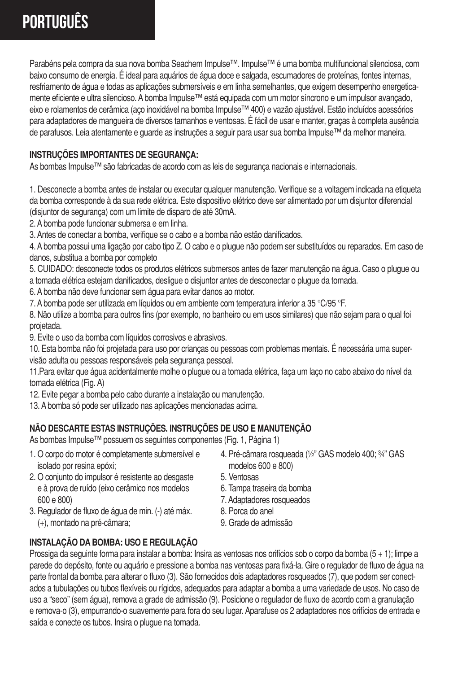## **Português**

Parabéns pela compra da sua nova bomba Seachem Impulse™. Impulse™ é uma bomba multifuncional silenciosa, com baixo consumo de energia. É ideal para aquários de água doce e salgada, escumadores de proteínas, fontes internas, resfriamento de água e todas as aplicações submersíveis e em linha semelhantes, que exigem desempenho energeticamente eficiente e ultra silencioso. A bomba Impulse™ está equipada com um motor síncrono e um impulsor avançado, eixo e rolamentos de cerâmica (aço inoxidável na bomba Impulse™ 400) e vazão ajustável. Estão incluídos acessórios para adaptadores de mangueira de diversos tamanhos e ventosas. É fácil de usar e manter, graças à completa ausência de parafusos. Leia atentamente e guarde as instruções a seguir para usar sua bomba Impulse™ da melhor maneira.

#### **INSTRUÇÕES IMPORTANTES DE SEGURANÇA:**

As bombas Impulse™ são fabricadas de acordo com as leis de segurança nacionais e internacionais.

1. Desconecte a bomba antes de instalar ou executar qualquer manutenção. Verifique se a voltagem indicada na etiqueta da bomba corresponde à da sua rede elétrica. Este dispositivo elétrico deve ser alimentado por um disjuntor diferencial (disjuntor de segurança) com um limite de disparo de até 30mA.

- 2. A bomba pode funcionar submersa e em linha.
- 3. Antes de conectar a bomba, verifique se o cabo e a bomba não estão danificados.

4. A bomba possui uma ligação por cabo tipo Z. O cabo e o plugue não podem ser substituídos ou reparados. Em caso de danos, substitua a bomba por completo

5. CUIDADO: desconecte todos os produtos elétricos submersos antes de fazer manutenção na água. Caso o plugue ou a tomada elétrica estejam danificados, desligue o disjuntor antes de desconectar o plugue da tomada.

- 6. A bomba não deve funcionar sem água para evitar danos ao motor.
- 7. A bomba pode ser utilizada em líquidos ou em ambiente com temperatura inferior a 35 °C/95 °F.

8. Não utilize a bomba para outros fins (por exemplo, no banheiro ou em usos similares) que não sejam para o qual foi projetada.

9. Evite o uso da bomba com líquidos corrosivos e abrasivos.

10. Esta bomba não foi projetada para uso por crianças ou pessoas com problemas mentais. É necessária uma supervisão adulta ou pessoas responsáveis pela segurança pessoal.

11.Para evitar que água acidentalmente molhe o plugue ou a tomada elétrica, faça um laço no cabo abaixo do nível da tomada elétrica (Fig. A)

- 12. Evite pegar a bomba pelo cabo durante a instalação ou manutenção.
- 13. A bomba só pode ser utilizado nas aplicações mencionadas acima.

### **NÃO DESCARTE ESTAS INSTRUÇÕES. INSTRUÇÕES DE USO E MANUTENÇÃO**

As bombas Impulse™ possuem os seguintes componentes (Fig. 1, Página 1)

- 1. O corpo do motor é completamente submersível e isolado por resina epóxi;
- 2. O conjunto do impulsor é resistente ao desgaste e à prova de ruído (eixo cerâmico nos modelos 600 e 800)
- 3. Regulador de fluxo de água de min. (-) até máx. (+), montado na pré-câmara;
- 4. Pré-câmara rosqueada (½" GAS modelo 400; ¾" GAS modelos 600 e 800)
- 5. Ventosas
- 6. Tampa traseira da bomba
- 7. Adaptadores rosqueados
- 8. Porca do anel
- 9. Grade de admissão

#### **INSTALAÇÃO DA BOMBA: USO E REGULAÇÃO**

Prossiga da seguinte forma para instalar a bomba: Insira as ventosas nos orifícios sob o corpo da bomba (5 + 1); limpe a parede do depósito, fonte ou aquário e pressione a bomba nas ventosas para fixá-la. Gire o regulador de fluxo de água na parte frontal da bomba para alterar o fluxo (3). São fornecidos dois adaptadores rosqueados (7), que podem ser conectados a tubulações ou tubos flexíveis ou rígidos, adequados para adaptar a bomba a uma variedade de usos. No caso de uso a "seco" (sem água), remova a grade de admissão (9). Posicione o regulador de fluxo de acordo com a granulação e remova-o (3), empurrando-o suavemente para fora do seu lugar. Aparafuse os 2 adaptadores nos orifícios de entrada e saída e conecte os tubos. Insira o plugue na tomada.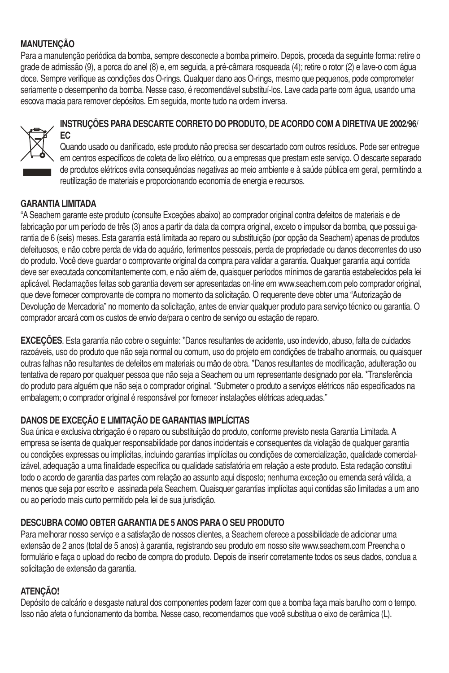#### **MANUTENÇÃO**

Para a manutenção periódica da bomba, sempre desconecte a bomba primeiro. Depois, proceda da seguinte forma: retire o grade de admissão (9), a porca do anel (8) e, em seguida, a pré-câmara rosqueada (4); retire o rotor (2) e lave-o com água doce. Sempre verifique as condições dos O-rings. Qualquer dano aos O-rings, mesmo que pequenos, pode comprometer seriamente o desempenho da bomba. Nesse caso, é recomendável substituí-los. Lave cada parte com água, usando uma escova macia para remover depósitos. Em seguida, monte tudo na ordem inversa.



#### **INSTRUÇÕES PARA DESCARTE CORRETO DO PRODUTO, DE ACORDO COM A DIRETIVA UE 2002/96/ EC**

Quando usado ou danificado, este produto não precisa ser descartado com outros resíduos. Pode ser entregue em centros específicos de coleta de lixo elétrico, ou a empresas que prestam este serviço. O descarte separado de produtos elétricos evita consequências negativas ao meio ambiente e à saúde pública em geral, permitindo a reutilização de materiais e proporcionando economia de energia e recursos.

#### **GARANTIA LIMITADA**

"A Seachem garante este produto (consulte Exceções abaixo) ao comprador original contra defeitos de materiais e de fabricação por um período de três (3) anos a partir da data da compra original, exceto o impulsor da bomba, que possui garantia de 6 (seis) meses. Esta garantia está limitada ao reparo ou substituição (por opção da Seachem) apenas de produtos defeituosos, e não cobre perda de vida do aquário, ferimentos pessoais, perda de propriedade ou danos decorrentes do uso do produto. Você deve guardar o comprovante original da compra para validar a garantia. Qualquer garantia aqui contida deve ser executada concomitantemente com, e não além de, quaisquer períodos mínimos de garantia estabelecidos pela lei aplicável. Reclamações feitas sob garantia devem ser apresentadas on-line em www.seachem.com pelo comprador original, que deve fornecer comprovante de compra no momento da solicitação. O requerente deve obter uma "Autorização de Devolução de Mercadoria" no momento da solicitação, antes de enviar qualquer produto para serviço técnico ou garantia. O comprador arcará com os custos de envio de/para o centro de serviço ou estação de reparo.

**EXCEÇÕES**. Esta garantia não cobre o seguinte: \*Danos resultantes de acidente, uso indevido, abuso, falta de cuidados razoáveis, uso do produto que não seja normal ou comum, uso do projeto em condições de trabalho anormais, ou quaisquer outras falhas não resultantes de defeitos em materiais ou mão de obra. \*Danos resultantes de modificação, adulteração ou tentativa de reparo por qualquer pessoa que não seja a Seachem ou um representante designado por ela. \*Transferência do produto para alguém que não seja o comprador original. \*Submeter o produto a serviços elétricos não especificados na embalagem; o comprador original é responsável por fornecer instalações elétricas adequadas."

#### **DANOS DE EXCEÇÃO E LIMITAÇÃO DE GARANTIAS IMPLÍCITAS**

Sua única e exclusiva obrigação é o reparo ou substituição do produto, conforme previsto nesta Garantia Limitada. A empresa se isenta de qualquer responsabilidade por danos incidentais e consequentes da violação de qualquer garantia ou condições expressas ou implícitas, incluindo garantias implícitas ou condições de comercialização, qualidade comercializável, adequação a uma finalidade específica ou qualidade satisfatória em relação a este produto. Esta redação constitui todo o acordo de garantia das partes com relação ao assunto aqui disposto; nenhuma exceção ou emenda será válida, a menos que seja por escrito e assinada pela Seachem. Quaisquer garantias implícitas aqui contidas são limitadas a um ano ou ao período mais curto permitido pela lei de sua jurisdição.

#### **DESCUBRA COMO OBTER GARANTIA DE 5 ANOS PARA O SEU PRODUTO**

Para melhorar nosso serviço e a satisfação de nossos clientes, a Seachem oferece a possibilidade de adicionar uma extensão de 2 anos (total de 5 anos) à garantia, registrando seu produto em nosso site www.seachem.com Preencha o formulário e faça o upload do recibo de compra do produto. Depois de inserir corretamente todos os seus dados, conclua a solicitação de extensão da garantia.

#### **ATENÇÃO!**

Depósito de calcário e desgaste natural dos componentes podem fazer com que a bomba faça mais barulho com o tempo. Isso não afeta o funcionamento da bomba. Nesse caso, recomendamos que você substitua o eixo de cerâmica (L).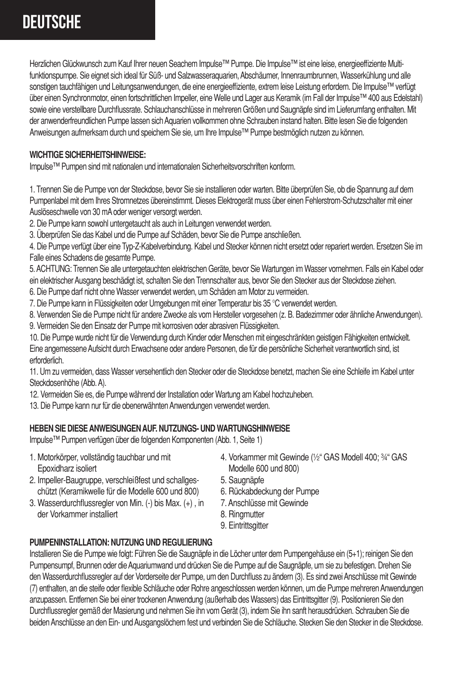## **Deutsche**

Herzlichen Glückwunsch zum Kauf Ihrer neuen Seachem Impulse™ Pumpe. Die Impulse™ ist eine leise, energieeffiziente Multifunktionspumpe. Sie eignet sich ideal für Süß- und Salzwasseraquarien, Abschäumer, Innenraumbrunnen, Wasserkühlung und alle sonstigen tauchfähigen und Leitungsanwendungen, die eine energieeffiziente, extrem leise Leistung erfordern. Die Impulse™ verfügt über einen Synchronmotor, einen fortschrittlichen Impeller, eine Welle und Lager aus Keramik (im Fall der Impulse™ 400 aus Edelstahl) sowie eine verstellbare Durchflussrate. Schlauchanschlüsse in mehreren Größen und Saugnäpfe sind im Lieferumfang enthalten. Mit der anwenderfreundlichen Pumpe lassen sich Aquarien vollkommen ohne Schrauben instand halten. Bitte lesen Sie die folgenden Anweisungen aufmerksam durch und speichern Sie sie, um Ihre Impulse™ Pumpe bestmöglich nutzen zu können.

#### **WICHTIGE SICHERHEITSHINWEISE:**

Impulse™ Pumpen sind mit nationalen und internationalen Sicherheitsvorschriften konform.

1. Trennen Sie die Pumpe von der Steckdose, bevor Sie sie installieren oder warten. Bitte überprüfen Sie, ob die Spannung auf dem Pumpenlabel mit dem Ihres Stromnetzes übereinstimmt. Dieses Elektrogerät muss über einen Fehlerstrom-Schutzschalter mit einer Auslöseschwelle von 30 mA oder weniger versorgt werden.

2. Die Pumpe kann sowohl untergetaucht als auch in Leitungen verwendet werden.

3. Überprüfen Sie das Kabel und die Pumpe auf Schäden, bevor Sie die Pumpe anschließen.

4. Die Pumpe verfügt über eine Typ-Z-Kabelverbindung. Kabel und Stecker können nicht ersetzt oder repariert werden. Ersetzen Sie im Falle eines Schadens die gesamte Pumpe.

5. ACHTUNG: Trennen Sie alle untergetauchten elektrischen Geräte, bevor Sie Wartungen im Wasser vornehmen. Falls ein Kabel oder ein elektrischer Ausgang beschädigt ist, schalten Sie den Trennschalter aus, bevor Sie den Stecker aus der Steckdose ziehen.

6. Die Pumpe darf nicht ohne Wasser verwendet werden, um Schäden am Motor zu vermeiden.

7. Die Pumpe kann in Flüssigkeiten oder Umgebungen mit einer Temperatur bis 35 °C verwendet werden.

8. Verwenden Sie die Pumpe nicht für andere Zwecke als vom Hersteller vorgesehen (z. B. Badezimmer oder ähnliche Anwendungen). 9. Vermeiden Sie den Einsatz der Pumpe mit korrosiven oder abrasiven Flüssigkeiten.

10. Die Pumpe wurde nicht für die Verwendung durch Kinder oder Menschen mit eingeschränkten geistigen Fähigkeiten entwickelt. Eine angemessene Aufsicht durch Erwachsene oder andere Personen, die für die persönliche Sicherheit verantwortlich sind, ist erforderlich.

11. Um zu vermeiden, dass Wasser versehentlich den Stecker oder die Steckdose benetzt, machen Sie eine Schleife im Kabel unter Steckdosenhöhe (Abb. A).

12. Vermeiden Sie es, die Pumpe während der Installation oder Wartung am Kabel hochzuheben.

13. Die Pumpe kann nur für die obenerwähnten Anwendungen verwendet werden.

#### **HEBEN SIE DIESE ANWEISUNGEN AUF. NUTZUNGS- UND WARTUNGSHINWEISE**

Impulse™ Pumpen verfügen über die folgenden Komponenten (Abb. 1, Seite 1)

- 1. Motorkörper, vollständig tauchbar und mit Epoxidharz isoliert
- 2. Impeller-Baugruppe, verschleißfest und schallgeschützt (Keramikwelle für die Modelle 600 und 800)
- 3. Wasserdurchflussregler von Min. (-) bis Max. (+) , in
- der Vorkammer installiert
- 4. Vorkammer mit Gewinde (½" GAS Modell 400; ¾" GAS Modelle 600 und 800)
- 5. Saugnäpfe
- 6. Rückabdeckung der Pumpe
- 7. Anschlüsse mit Gewinde
- 8. Ringmutter
- 9. Eintrittsgitter

#### **PUMPENINSTALLATION: NUTZUNG UND REGULIERUNG**

Installieren Sie die Pumpe wie folgt: Führen Sie die Saugnäpfe in die Löcher unter dem Pumpengehäuse ein (5+1); reinigen Sie den Pumpensumpf, Brunnen oder die Aquariumwand und drücken Sie die Pumpe auf die Saugnäpfe, um sie zu befestigen. Drehen Sie den Wasserdurchflussregler auf der Vorderseite der Pumpe, um den Durchfluss zu ändern (3). Es sind zwei Anschlüsse mit Gewinde (7) enthalten, an die steife oder flexible Schläuche oder Rohre angeschlossen werden können, um die Pumpe mehreren Anwendungen anzupassen. Entfernen Sie bei einer trockenen Anwendung (außerhalb des Wassers) das Eintrittsgitter (9). Positionieren Sie den Durchflussregler gemäß der Masierung und nehmen Sie ihn vom Gerät (3), indem Sie ihn sanft herausdrücken. Schrauben Sie die beiden Anschlüsse an den Ein- und Ausgangslöchern fest und verbinden Sie die Schläuche. Stecken Sie den Stecker in die Steckdose.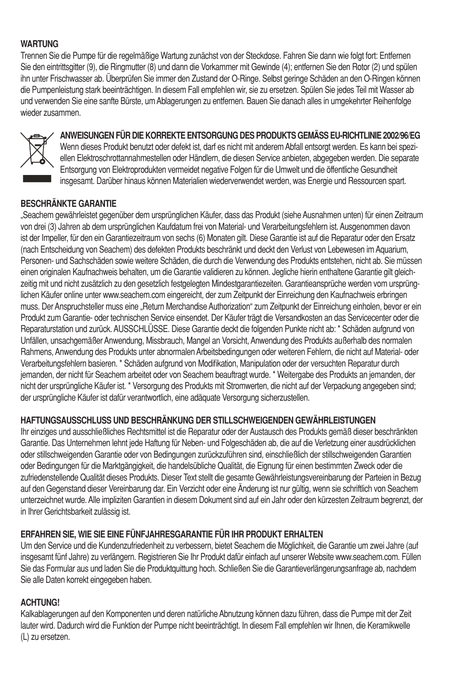#### **WARTUNG**

Trennen Sie die Pumpe für die regelmäßige Wartung zunächst von der Steckdose. Fahren Sie dann wie folgt fort: Entfernen Sie den eintrittsgitter (9), die Ringmutter (8) und dann die Vorkammer mit Gewinde (4); entfernen Sie den Rotor (2) und spülen ihn unter Frischwasser ab. Überprüfen Sie immer den Zustand der O-Ringe. Selbst geringe Schäden an den O-Ringen können die Pumpenleistung stark beeinträchtigen. In diesem Fall empfehlen wir, sie zu ersetzen. Spülen Sie jedes Teil mit Wasser ab und verwenden Sie eine sanfte Bürste, um Ablagerungen zu entfernen. Bauen Sie danach alles in umgekehrter Reihenfolge wieder zusammen.



#### **ANWEISUNGEN FÜR DIE KORREKTE ENTSORGUNG DES PRODUKTS GEMÄSS EU-RICHTLINIE 2002/96/EG**

Wenn dieses Produkt benutzt oder defekt ist, darf es nicht mit anderem Abfall entsorgt werden. Es kann bei speziellen Elektroschrottannahmestellen oder Händlern, die diesen Service anbieten, abgegeben werden. Die separate Entsorgung von Elektroprodukten vermeidet negative Folgen für die Umwelt und die öffentliche Gesundheit insgesamt. Darüber hinaus können Materialien wiederverwendet werden, was Energie und Ressourcen spart.

#### **BESCHRÄNKTE GARANTIE**

"Seachem gewährleistet gegenüber dem ursprünglichen Käufer, dass das Produkt (siehe Ausnahmen unten) für einen Zeitraum von drei (3) Jahren ab dem ursprünglichen Kaufdatum frei von Material- und Verarbeitungsfehlern ist. Ausgenommen davon ist der Impeller, für den ein Garantiezeitraum von sechs (6) Monaten gilt. Diese Garantie ist auf die Reparatur oder den Ersatz (nach Entscheidung von Seachem) des defekten Produkts beschränkt und deckt den Verlust von Lebewesen im Aquarium, Personen- und Sachschäden sowie weitere Schäden, die durch die Verwendung des Produkts entstehen, nicht ab. Sie müssen einen originalen Kaufnachweis behalten, um die Garantie validieren zu können. Jegliche hierin enthaltene Garantie gilt gleichzeitig mit und nicht zusätzlich zu den gesetzlich festgelegten Mindestgarantiezeiten. Garantieansprüche werden vom ursprünglichen Käufer online unter www.seachem.com eingereicht, der zum Zeitpunkt der Einreichung den Kaufnachweis erbringen muss. Der Anspruchsteller muss eine "Return Merchandise Authorization" zum Zeitpunkt der Einreichung einholen, bevor er ein Produkt zum Garantie- oder technischen Service einsendet. Der Käufer trägt die Versandkosten an das Servicecenter oder die Reparaturstation und zurück. AUSSCHLÜSSE. Diese Garantie deckt die folgenden Punkte nicht ab: \* Schäden aufgrund von Unfällen, unsachgemäßer Anwendung, Missbrauch, Mangel an Vorsicht, Anwendung des Produkts außerhalb des normalen Rahmens, Anwendung des Produkts unter abnormalen Arbeitsbedingungen oder weiteren Fehlern, die nicht auf Material- oder Verarbeitungsfehlern basieren. \* Schäden aufgrund von Modifikation, Manipulation oder der versuchten Reparatur durch jemanden, der nicht für Seachem arbeitet oder von Seachem beauftragt wurde. \* Weitergabe des Produkts an jemanden, der nicht der ursprüngliche Käufer ist. \* Versorgung des Produkts mit Stromwerten, die nicht auf der Verpackung angegeben sind; der ursprüngliche Käufer ist dafür verantwortlich, eine adäquate Versorgung sicherzustellen.

#### **HAFTUNGSAUSSCHLUSS UND BESCHRÄNKUNG DER STILLSCHWEIGENDEN GEWÄHRLEISTUNGEN**

Ihr einziges und ausschließliches Rechtsmittel ist die Reparatur oder der Austausch des Produkts gemäß dieser beschränkten Garantie. Das Unternehmen lehnt jede Haftung für Neben- und Folgeschäden ab, die auf die Verletzung einer ausdrücklichen oder stillschweigenden Garantie oder von Bedingungen zurückzuführen sind, einschließlich der stillschweigenden Garantien oder Bedingungen für die Marktgängigkeit, die handelsübliche Qualität, die Eignung für einen bestimmten Zweck oder die zufriedenstellende Qualität dieses Produkts. Dieser Text stellt die gesamte Gewährleistungsvereinbarung der Parteien in Bezug auf den Gegenstand dieser Vereinbarung dar. Ein Verzicht oder eine Änderung ist nur gültig, wenn sie schriftlich von Seachem unterzeichnet wurde. Alle impliziten Garantien in diesem Dokument sind auf ein Jahr oder den kürzesten Zeitraum begrenzt, der in Ihrer Gerichtsbarkeit zulässig ist.

#### **ERFAHREN SIE, WIE SIE EINE FÜNFJAHRESGARANTIE FÜR IHR PRODUKT ERHALTEN**

Um den Service und die Kundenzufriedenheit zu verbessern, bietet Seachem die Möglichkeit, die Garantie um zwei Jahre (auf insgesamt fünf Jahre) zu verlängern. Registrieren Sie Ihr Produkt dafür einfach auf unserer Website www.seachem.com. Füllen Sie das Formular aus und laden Sie die Produktquittung hoch. Schließen Sie die Garantieverlängerungsanfrage ab, nachdem Sie alle Daten korrekt eingegeben haben.

#### **ACHTUNG!**

Kalkablagerungen auf den Komponenten und deren natürliche Abnutzung können dazu führen, dass die Pumpe mit der Zeit lauter wird. Dadurch wird die Funktion der Pumpe nicht beeinträchtigt. In diesem Fall empfehlen wir Ihnen, die Keramikwelle (L) zu ersetzen.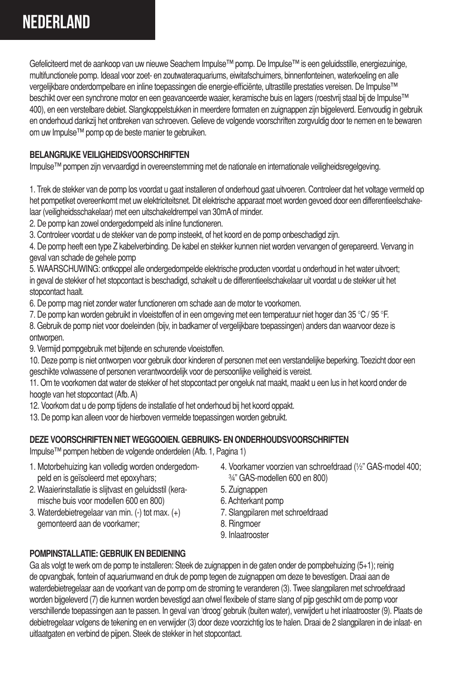## **Nederland**

Gefeliciteerd met de aankoop van uw nieuwe Seachem Impulse™ pomp. De Impulse™ is een geluidsstille, energiezuinige, multifunctionele pomp. Ideaal voor zoet- en zoutwateraquariums, eiwitafschuimers, binnenfonteinen, waterkoeling en alle vergelijkbare onderdompelbare en inline toepassingen die energie-efficiënte, ultrastille prestaties vereisen. De Impulse™ beschikt over een synchrone motor en een geavanceerde waaier, keramische buis en lagers (roestvrij staal bij de Impulse™ 400), en een verstelbare debiet. Slangkoppelstukken in meerdere formaten en zuignappen zijn bijgeleverd. Eenvoudig in gebruik en onderhoud dankzij het ontbreken van schroeven. Gelieve de volgende voorschriften zorgvuldig door te nemen en te bewaren om uw Impulse™ pomp op de beste manier te gebruiken.

#### **BELANGRIJKE VEILIGHEIDSVOORSCHRIFTEN**

Impulse™ pompen zijn vervaardigd in overeenstemming met de nationale en internationale veiligheidsregelgeving.

1. Trek de stekker van de pomp los voordat u gaat installeren of onderhoud gaat uitvoeren. Controleer dat het voltage vermeld op het pompetiket overeenkomt met uw elektriciteitsnet. Dit elektrische apparaat moet worden gevoed door een differentieelschakelaar (veiligheidsschakelaar) met een uitschakeldrempel van 30mA of minder.

2. De pomp kan zowel ondergedompeld als inline functioneren.

3. Controleer voordat u de stekker van de pomp insteekt, of het koord en de pomp onbeschadigd zijn.

4. De pomp heeft een type Z kabelverbinding. De kabel en stekker kunnen niet worden vervangen of gerepareerd. Vervang in geval van schade de gehele pomp

5. WAARSCHUWING: ontkoppel alle ondergedompelde elektrische producten voordat u onderhoud in het water uitvoert; in geval de stekker of het stopcontact is beschadigd, schakelt u de differentieelschakelaar uit voordat u de stekker uit het stopcontact haalt.

6. De pomp mag niet zonder water functioneren om schade aan de motor te voorkomen.

7. De pomp kan worden gebruikt in vloeistoffen of in een omgeving met een temperatuur niet hoger dan 35 °C / 95 °F.

8. Gebruik de pomp niet voor doeleinden (bijv, in badkamer of vergelijkbare toepassingen) anders dan waarvoor deze is ontworpen.

9. Vermijd pompgebruik met bijtende en schurende vloeistoffen.

10. Deze pomp is niet ontworpen voor gebruik door kinderen of personen met een verstandelijke beperking. Toezicht door een geschikte volwassene of personen verantwoordelijk voor de persoonlijke veiligheid is vereist.

11. Om te voorkomen dat water de stekker of het stopcontact per ongeluk nat maakt, maakt u een lus in het koord onder de hoogte van het stopcontact (Afb. A)

12. Voorkom dat u de pomp tijdens de installatie of het onderhoud bij het koord oppakt.

13. De pomp kan alleen voor de hierboven vermelde toepassingen worden gebruikt.

#### **DEZE VOORSCHRIFTEN NIET WEGGOOIEN. GEBRUIKS- EN ONDERHOUDSVOORSCHRIFTEN**

Impulse™ pompen hebben de volgende onderdelen (Afb. 1, Pagina 1)

- 1. Motorbehuizing kan volledig worden ondergedompeld en is geïsoleerd met epoxyhars;
- 2. Waaierinstallatie is slijtvast en geluidsstil (keramische buis voor modellen 600 en 800)
- 3. Waterdebietregelaar van min. (-) tot max. (+) gemonteerd aan de voorkamer;
- 4. Voorkamer voorzien van schroefdraad (½" GAS-model 400; ¾" GAS-modellen 600 en 800)
- 5. Zuignappen
- 6. Achterkant pomp
- 7. Slangpilaren met schroefdraad
- 8. Ringmoer
- 9. Inlaatrooster

#### **POMPINSTALLATIE: GEBRUIK EN BEDIENING**

Ga als volgt te werk om de pomp te installeren: Steek de zuignappen in de gaten onder de pompbehuizing (5+1); reinig de opvangbak, fontein of aquariumwand en druk de pomp tegen de zuignappen om deze te bevestigen. Draai aan de waterdebietregelaar aan de voorkant van de pomp om de stroming te veranderen (3). Twee slangpilaren met schroefdraad worden bijgeleverd (7) die kunnen worden bevestigd aan ofwel flexibele of starre slang of pijp geschikt om de pomp voor verschillende toepassingen aan te passen. In geval van 'droog' gebruik (buiten water), verwijdert u het inlaatrooster (9). Plaats de debietregelaar volgens de tekening en en verwijder (3) door deze voorzichtig los te halen. Draai de 2 slangpilaren in de inlaat- en uitlaatgaten en verbind de pijpen. Steek de stekker in het stopcontact.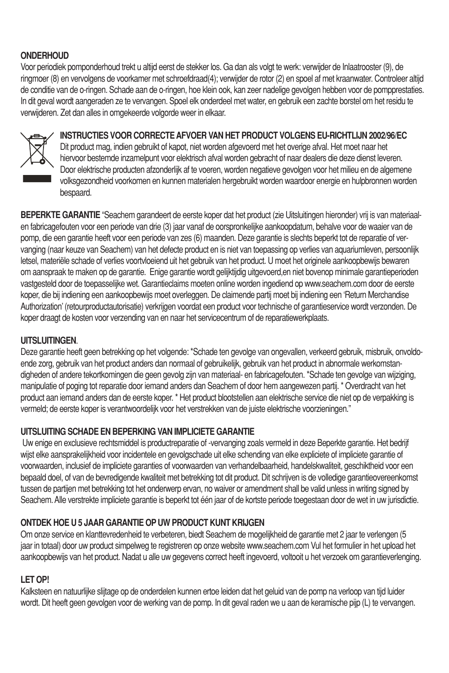#### **ONDERHOUD**

Voor periodiek pomponderhoud trekt u altijd eerst de stekker los. Ga dan als volgt te werk: verwijder de Inlaatrooster (9), de ringmoer (8) en vervolgens de voorkamer met schroefdraad(4); verwijder de rotor (2) en spoel af met kraanwater. Controleer altijd de conditie van de o-ringen. Schade aan de o-ringen, hoe klein ook, kan zeer nadelige gevolgen hebben voor de pompprestaties. In dit geval wordt aangeraden ze te vervangen. Spoel elk onderdeel met water, en gebruik een zachte borstel om het residu te verwijderen. Zet dan alles in omgekeerde volgorde weer in elkaar.



**INSTRUCTIES VOOR CORRECTE AFVOER VAN HET PRODUCT VOLGENS EU-RICHTLIJN 2002/96/EC**

Dit product mag, indien gebruikt of kapot, niet worden afgevoerd met het overige afval. Het moet naar het<br>hiervoor bestemde inzamelpunt voor elektrisch afval worden gebracht of naar dealers die deze dienst leveren. Door elektrische producten afzonderlijk af te voeren, worden negatieve gevolgen voor het milieu en de algemene volksgezondheid voorkomen en kunnen materialen hergebruikt worden waardoor energie en hulpbronnen worden bespaard.

**BEPERKTE GARANTIE** "Seachem garandeert de eerste koper dat het product (zie Uitsluitingen hieronder) vrij is van materiaalen fabricagefouten voor een periode van drie (3) jaar vanaf de oorspronkelijke aankoopdatum, behalve voor de waaier van de pomp, die een garantie heeft voor een periode van zes (6) maanden. Deze garantie is slechts beperkt tot de reparatie of vervanging (naar keuze van Seachem) van het defecte product en is niet van toepassing op verlies van aquariumleven, persoonlijk letsel, materiële schade of verlies voortvloeiend uit het gebruik van het product. U moet het originele aankoopbewijs bewaren om aanspraak te maken op de garantie. Enige garantie wordt gelijktijdig uitgevoerd,en niet bovenop minimale garantieperioden vastgesteld door de toepasselijke wet. Garantieclaims moeten online worden ingediend op www.seachem.com door de eerste koper, die bij indiening een aankoopbewijs moet overleggen. De claimende partij moet bij indiening een 'Return Merchandise Authorization' (retourproductautorisatie) verkrijgen voordat een product voor technische of garantieservice wordt verzonden. De koper draagt de kosten voor verzending van en naar het servicecentrum of de reparatiewerkplaats.

#### **UITSLUITINGEN**.

Deze garantie heeft geen betrekking op het volgende: \*Schade ten gevolge van ongevallen, verkeerd gebruik, misbruik, onvoldoende zorg, gebruik van het product anders dan normaal of gebruikelijk, gebruik van het product in abnormale werkomstandigheden of andere tekortkomingen die geen gevolg zijn van materiaal- en fabricagefouten. \*Schade ten gevolge van wijziging, manipulatie of poging tot reparatie door iemand anders dan Seachem of door hem aangewezen partij. \* Overdracht van het product aan iemand anders dan de eerste koper. \* Het product blootstellen aan elektrische service die niet op de verpakking is vermeld; de eerste koper is verantwoordelijk voor het verstrekken van de juiste elektrische voorzieningen."

#### **UITSLUITING SCHADE EN BEPERKING VAN IMPLICIETE GARANTIE**

 Uw enige en exclusieve rechtsmiddel is productreparatie of -vervanging zoals vermeld in deze Beperkte garantie. Het bedrijf wijst elke aansprakelijkheid voor incidentele en gevolgschade uit elke schending van elke expliciete of impliciete garantie of voorwaarden, inclusief de impliciete garanties of voorwaarden van verhandelbaarheid, handelskwaliteit, geschiktheid voor een bepaald doel, of van de bevredigende kwaliteit met betrekking tot dit product. Dit schrijven is de volledige garantieovereenkomst tussen de partijen met betrekking tot het onderwerp ervan, no waiver or amendment shall be valid unless in writing signed by Seachem. Alle verstrekte impliciete garantie is beperkt tot één jaar of de kortste periode toegestaan door de wet in uw jurisdictie.

#### **ONTDEK HOE U 5 JAAR GARANTIE OP UW PRODUCT KUNT KRIJGEN**

Om onze service en klanttevredenheid te verbeteren, biedt Seachem de mogelijkheid de garantie met 2 jaar te verlengen (5 jaar in totaal) door uw product simpelweg te registreren op onze website www.seachem.com Vul het formulier in het upload het aankoopbewijs van het product. Nadat u alle uw gegevens correct heeft ingevoerd, voltooit u het verzoek om garantieverlenging.

#### **LET OP!**

Kalksteen en natuurlijke slijtage op de onderdelen kunnen ertoe leiden dat het geluid van de pomp na verloop van tijd luider wordt. Dit heeft geen gevolgen voor de werking van de pomp. In dit geval raden we u aan de keramische pijp (L) te vervangen.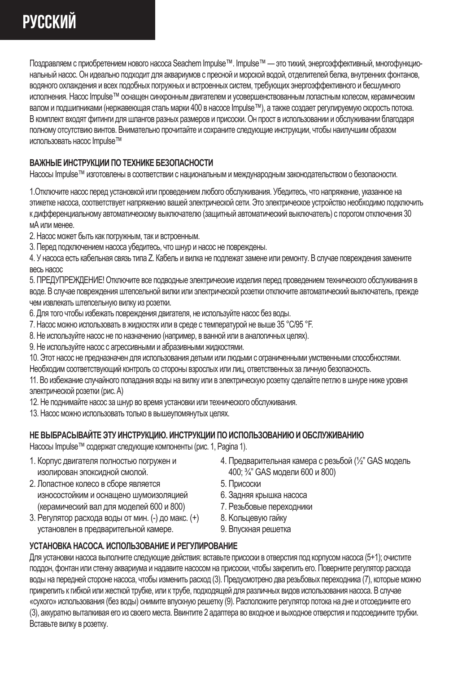## **русский**

Поздравляем с приобретением нового насоса Seachem Impulse™. Impulse™ — это тихий, энергоэффективный, многофункциональный насос. Он идеально подходит для аквариумов с пресной и морской водой, отделителей белка, внутренних фонтанов, водяного охлаждения и всех подобных погружных и встроенных систем, требующих энергоэффективного и бесшумного исполнения. Насос Impulse™ оснащен синхронным двигателем и усовершенствованным лопастным колесом, керамическим валом и подшипниками (нержавеющая сталь марки 400 в насосе Impulse™), а также создает регулируемую скорость потока. В комплект входят фитинги для шлангов разных размеров и присоски. Он прост в использовании и обслуживании благодаря полному отсутствию винтов. Внимательно прочитайте и сохраните следующие инструкции, чтобы наилучшим образом использовать насос Impulse™

#### **ВАЖНЫЕ ИНСТРУКЦИИ ПО ТЕХНИКЕ БЕЗОПАСНОСТИ**

Насосы Impulse™ изготовлены в соответствии с национальным и международным законодательством о безопасности.

1.Отключите насос перед установкой или проведением любого обслуживания. Убедитесь, что напряжение, указанное на этикетке насоса, соответствует напряжению вашей электрической сети. Это электрическое устройство необходимо подключить к дифференциальному автоматическому выключателю (защитный автоматический выключатель) с порогом отключения 30 мА или менее.

2. Насос может быть как погружным, так и встроенным.

3. Перед подключением насоса убедитесь, что шнур и насос не повреждены.

4. У насоса есть кабельная связь типа Z. Кабель и вилка не подлежат замене или ремонту. В случае повреждения замените весь насос

5. ПРЕДУПРЕЖДЕНИЕ! Отключите все подводные электрические изделия перед проведением технического обслуживания в воде. В случае повреждения штепсельной вилки или электрической розетки отключите автоматический выключатель, прежде чем извлекать штепсельную вилку из розетки.

- 6. Для того чтобы избежать повреждения двигателя, не используйте насос без воды.
- 7. Насос можно использовать в жидкостях или в среде с температурой не выше 35 °C/95 °F.
- 8. Не используйте насос не по назначению (например, в ванной или в аналогичных целях).
- 9. Не используйте насос с агрессивными и абразивными жидкостями.

10. Этот насос не предназначен для использования детьми или людьми с ограниченными умственными способностями.

Необходим соответствующий контроль со стороны взрослых или лиц, ответственных за личную безопасность.

11. Во избежание случайного попадания воды на вилку или в электрическую розетку сделайте петлю в шнуре ниже уровня электрической розетки (рис. A)

12. Не поднимайте насос за шнур во время установки или технического обслуживания.

13. Насос можно использовать только в вышеупомянутых целях.

#### **НЕ ВЫБРАСЫВАЙТЕ ЭТУ ИНСТРУКЦИЮ. ИНСТРУКЦИИ ПО ИСПОЛЬЗОВАНИЮ И ОБСЛУЖИВАНИЮ**

Насосы Impulse™ содержат следующие компоненты (рис. 1, Pagina 1).

- 1. Корпус двигателя полностью погружен и изолирован эпоксидной смолой.
- 2. Лопастное колесо в сборе является износостойким и оснащено шумоизоляцией (керамический вал для моделей 600 и 800)
- 3. Регулятор расхода воды от мин. (-) до макс. (+) установлен в предварительной камере.
- 4. Предварительная камера с резьбой (½" GAS модель 400; ¾" GAS модели 600 и 800)
- 5. Присоски
- 6. Задняя крышка насоса
- 7. Резьбовые переходники
- 8. Kольцевую гайку
- 9. Впускная решетка

#### **УСТАНОВКА НАСОСА. ИСПОЛЬЗОВАНИЕ И РЕГУЛИРОВАНИЕ**

Для установки насоса выполните следующие действия: вставьте присоски в отверстия под корпусом насоса (5+1); очистите поддон, фонтан или стенку аквариума и надавите насосом на присоски, чтобы закрепить его. Поверните регулятор расхода воды на передней стороне насоса, чтобы изменить расход (3). Предусмотрено два резьбовых переходника (7), которые можно прикрепить к гибкой или жесткой трубке, или к трубе, подходящей для различных видов использования насоса. В случае «сухого» использования (без воды) снимите впускную решетку (9). Расположите регулятор потока на дне и отсоедините его (3), аккуратно выталкивая его из своего места. Ввинтите 2 адаптера во входное и выходное отверстия и подсоедините трубки. Вставьте вилку в розетку.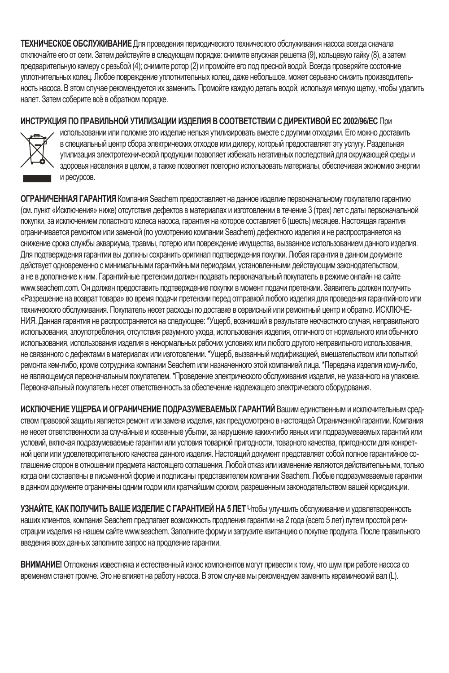**ТЕХНИЧЕСКОЕ ОБСЛУЖИВАНИЕ** Для проведения периодического технического обслуживания насоса всегда сначала отключайте его от сети. Затем действуйте в следующем порядке: снимите впускная решетка (9), кольцевую гайку (8), а затем предварительную камеру с резьбой (4); снимите ротор (2) и промойте его под пресной водой. Всегда проверяйте состояние уплотнительных колец. Любое повреждение уплотнительных колец, даже небольшое, может серьезно снизить производительность насоса. В этом случае рекомендуется их заменить. Промойте каждую деталь водой, используя мягкую щетку, чтобы удалить налет. Затем соберите всё в обратном порядке.

#### **ИНСТРУКЦИЯ ПО ПРАВИЛЬНОЙ УТИЛИЗАЦИИ ИЗДЕЛИЯ В СООТВЕТСТВИИ С ДИРЕКТИВОЙ ЕС 2002/96/EC** При



использовании или поломке это изделие нельзя утилизировать вместе с другими отходами. Его можно доставить в специальный центр сбора электрических отходов или дилеру, который предоставляет эту услугу. Раздельная утилизация электротехнической продукции позволяет избежать негативных последствий для окружающей среды и здоровья населения в целом, а также позволяет повторно использовать материалы, обеспечивая экономию энергии и ресурсов.

**ОГРАНИЧЕННАЯ ГАРАНТИЯ** Компания Seachem предоставляет на данное изделие первоначальному покупателю гарантию (см. пункт «Исключения» ниже) отсутствия дефектов в материалах и изготовлении в течение 3 (трех) лет с даты первоначальной покупки, за исключением лопастного колеса насоса, гарантия на которое составляет 6 (шесть) месяцев. Настоящая гарантия ограничивается ремонтом или заменой (по усмотрению компании Seachem) дефектного изделия и не распространяется на снижение срока службы аквариума, травмы, потерю или повреждение имущества, вызванное использованием данного изделия. Для подтверждения гарантии вы должны сохранить оригинал подтверждения покупки. Любая гарантия в данном документе действует одновременно с минимальными гарантийными периодами, установленными действующим законодательством, а не в дополнение к ним. Гарантийные претензии должен подавать первоначальный покупатель в режиме онлайн на сайте www.seachem.com. Он должен предоставить подтверждение покупки в момент подачи претензии. Заявитель должен получить «Разрешение на возврат товара» во время подачи претензии перед отправкой любого изделия для проведения гарантийного или технического обслуживания. Покупатель несет расходы по доставке в сервисный или ремонтный центр и обратно. ИСКЛЮЧЕ-НИЯ. Данная гарантия не распространяется на следующее: \*Ущерб, возникший в результате несчастного случая, неправильного использования, злоупотребления, отсутствия разумного ухода, использования изделия, отличного от нормального или обычного использования, использования изделия в ненормальных рабочих условиях или любого другого неправильного использования, не связанного с дефектами в материалах или изготовлении. \*Ущерб, вызванный модификацией, вмешательством или попыткой ремонта кем-либо, кроме сотрудника компании Seachem или назначенного этой компанией лица. \*Передача изделия кому-либо, не являющемуся первоначальным покупателем. \*Проведение электрического обслуживания изделия, не указанного на упаковке. Первоначальный покупатель несет ответственность за обеспечение надлежащего электрического оборудования.

**ИСКЛЮЧЕНИЕ УЩЕРБА И ОГРАНИЧЕНИЕ ПОДРАЗУМЕВАЕМЫХ ГАРАНТИЙ** Вашим единственным и исключительным средством правовой защиты является ремонт или замена изделия, как предусмотрено в настоящей Ограниченной гарантии. Компания не несет ответственности за случайные и косвенные убытки, за нарушение каких-либо явных или подразумеваемых гарантий или условий, включая подразумеваемые гарантии или условия товарной пригодности, товарного качества, пригодности для конкретной цели или удовлетворительного качества данного изделия. Настоящий документ представляет собой полное гарантийное соглашение сторон в отношении предмета настоящего соглашения. Любой отказ или изменение являются действительными, только когда они составлены в письменной форме и подписаны представителем компании Seachem. Любые подразумеваемые гарантии в данном документе ограничены одним годом или кратчайшим сроком, разрешенным законодательством вашей юрисдикции.

**УЗНАЙТЕ, КАК ПОЛУЧИТЬ ВАШЕ ИЗДЕЛИЕ С ГАРАНТИЕЙ НА 5 ЛЕТ** Чтобы улучшить обслуживание и удовлетворенность наших клиентов, компания Seachem предлагает возможность продления гарантии на 2 года (всего 5 лет) путем простой регистрации изделия на нашем сайте www.seachem. Заполните форму и загрузите квитанцию о покупке продукта. После правильного введения всех данных заполните запрос на продление гарантии.

**ВНИМАНИЕ!** Отложения известняка и естественный износ компонентов могут привести к тому, что шум при работе насоса со временем станет громче. Это не влияет на работу насоса. В этом случае мы рекомендуем заменить керамический вал (L).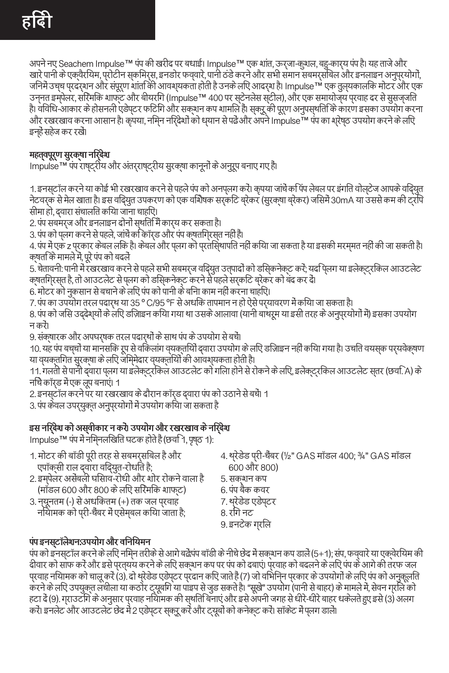अपने नए Seachem Impulse™ पंप की खरीद पर बधाई। Impulse™ एक शांत, ऊर्जा-कुशल, बहु-कार्य पंप है। यह ताजे और खारे पानी के एक्वैरियम, प्रोटीन स्किमर्स, इनडोर फव्वारे, पानी ठंडे करने और सभी समान सबमर्सिबल और इनलाइन अनुप्रयोगों, जिनमें उच्च प्रदर्शन और संपूर्ण शांति की आवश्यकता होती है उनके लिए आदर्श है। Impulse™ एक तुल्यकालिक मोटर और एक उन्नत इम्पेलर, सिरेमिक शाफ्ट और बीयरिंग (Impulse™ 400 पर स्टेनलेस स्टील), और एक समायोज्य प्रवाह दर से सुसज्जित है। विविध-आकार के होसनली एडेप्टर फिटिंग और सक्शन कप शामिल हैं। स्क्रू की पूर्ण अनुपस्थिति के कारण इसका उपयोग करना और रखरखाव करना आसान है। कृपया, निम्न निर्देशों को ध्यान से पढ़ें और अपने Impulse™ पंप का श्रेष्ठ उपयोग करने के लिए

**महत्वपूर्ण सुरक्षा निर्देश**

इन्हें सहेज कर रखें।

Impulse™ पंप राष्ट्रीय और अंतर्राष्ट्रीय सुरक्षा कानूनों के अनुरूप बनाए गए हैं।

1. इनस्टॉल करने या कोई भी रखरखाव करने से पहले पंप को अनप्लग करें। कृपया जांचें कि पंप लेबल पर इंगित वोल्टेज आपके विद्युत नेटवर्क से मेल खाता है। इस विद्युत उपकरण को एक विशेषक सर्किट ब्रेकर (सुरक्षा ब्रेकर) जिसमें 30mA या उससे कम की ट्रिप

सीमा हो, द्वारा संचालित किया जाना चाहिए।

2. पंप सबमर्ज और इनलाइन दोनों स्थिति में कार्य कर सकता है।

3. पंप को प्लग करने से पहले, जांचें कि कॉर्ड और पंप क्षतिग्रस्त नहीं हैं।

4. पंप में एक z प्रकार केबल लिंक है। केबल और प्लग को प्रतिस्थापित नहीं किया जा सकता है या इसकी मरम्मत नहीं की जा सकती है। क्षति के मामले में, पूरे पंप को बदलें

5. चेतावनी: पानी में रखरखाव करने से पहले सभी सबमर्ज विद्युत उत्पादों को डिस्कनेक्ट करें; यदि प्लग या इलेक्ट्रिकल आउटलेट क्षतिग्रस्त है, तो आउटलेट से प्लग को डिस्कनेक्ट करने से पहले सर्किट ब्रेकर को बंद कर दें।

6. मोटर को नुकसान से बचाने के लिए पंप को पानी के बिना काम नहीं करना चाहिए।

7. पंप का उपयोग तरल पदार्थ या 35 º C/95 ºF से अधिक तापमान न हो ऐसे पर्यावरण में किया जा सकता है।

8. पंप को जिस उद्देश्यों के लिए डिज़ाइन किया गया था उसके आलावा (यानी बाथरूम या इसी तरह के अनुप्रयोगों में) इसका उपयोग न करें।

9. संक्षारक और अपघर्षक तरल पदार्थों के साथ पंप के उपयोग से बचें।

10. यह पंप बच्चों या मानसिक रूप से विकलांग व्यक्तियों द्वारा उपयोग के लिए डिज़ाइन नहीं किया गया है। उचित वयस्क पर्यवेक्षण या व्यक्तिगत सुरक्षा के लिए जिम्मेदार व्यक्तियों की आवश्यकता होती है।

11. गलती से पानी द्वारा प्लग या इलेक्ट्रिकल आउटलेट को गिला होने से रोकने के लिए, इलेक्ट्रिकल आउटलेट स्तर (छवि. A) के निचे कॉर्ड में एक लूप बनाएं। 1

2. इनस्टॉल करने पर या रखरखाव के दौरान कॉर्ड द्वारा पंप को उठाने से बचें। 1

3. पंप केवल उपर्युक्त अनुप्रयोगों में उपयोग किया जा सकता है

### **इस निर्देश को अस्वीकार न करें। उपयोग और रखरखाव के निर्देश**

Impulse™ पंप में निम्नलिखित घटक होते हैं (छवि 1, पृष्ठ 1):

- 1. मोटर की बॉडी पूरी तरह से सबमर्सिबल है और एपॉक्सी राल द्वारा विद्युत-रोधित है;
- 2. इम्पेलर असेंबली घिसाव-रोधी और शोर रोकने वाला है (मॉडल 600 और 800 के लिए सिरेमिक शाफ्ट)
- 3. न्यूनतम (-) से अधिकतम (+) तक जल प्रवाह नियामक को प्री-चैंबर में एसेम्बल किया जाता है;
- 4. थ्रेडेड प्री-चैंबर (½" GAS मॉडल 400; ¾" GAS मॉडल 600 और 800)
- 5. सक्शन कप
- 6. पंप बैक कवर
- 7. थ्रेडेड एडेप्टर
- 8. रिंग नट
- 9. इनटेक ग्रिल

**पंप इनस्टॉलेशन:उपयोग और विनियमन**

पंप को इनस्टॉल करने के लिए निम्न तरीके से आगे बढ़ें:पंप बॉडी के नीचे छेद में सक्शन कप डालें (5+1); संप, फव्वारे या एक्वेरियम की दीवार को साफ करें और इसे प्रत्यय करने के लिए सक्शन कप पर पंप को दबाएं। प्रवाह को बदलने के लिए पंप के आगे की तरफ जल प्रवाह नियामक को चालू करें (3). दो थ्रेडेड एडेप्टर प्रदान किए जाते हैं (7) जो विभिन्न प्रकार के उपयोगों के लिए पंप को अनुकूलित करने के लिए उपयुक्त लचीला या कठोर ट्यूबिंग या पाइप से जुड सकते है। "सूखे" उपयोग (पानी से बाहर) के मामले में, सेवन ग्रिल को हटा दें (9). ग्राउटिंग के अनुसार प्रवाह नियामक की स्थिति बनाएं और इसे अपनी जगह से धीरे-धीरे बाहर धकेलते हुए इसे (3) अलग करें। इनलेट और आउटलेट छेद में 2 एडेप्टर स्क्रू करें और ट्यूबों को कनेक्ट करें। सॉकेट में प्लग डालें।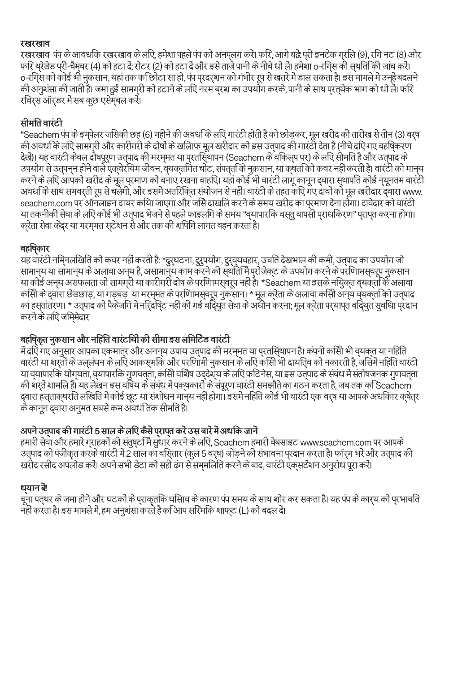**रखरखाव**  रखरखाव पंप के आवधिक रखरखाव के लिए, हमेशा पहले पंप को अनप्लग करें। फिर, आगे बढ़ें: प्री इनटेक ग्रिल (9), रिंग नट (8) और फोर श्स्डब पूरा-चमुंबर (4) का हटा द राटर (2) का हटा द जार इस ताज पाना क नाथ घा ला हमया। ठ-रागस का स्थाता का जाय करा<br>o-रगिस को कोई भी नुकसान, यहां तक कृष्ठिोटा सा हो, पंप प्रदर्शन को गंभीर रूप से खतरे में डाल सकता है। इस म की अनुशंसा की जाती है। जमा हुई सामग्री को हटाने के लिए नरम ब्रश का उपयोग करके, पानी के साथ प्रत्येक भाग को धो लें। फिर रिवर्स ऑर्डर में सब कुछ एसेम्बल करें।

**सीमित वारंटी**  "Seachem पंप के इम्पेलर जिसकी छह (6) महीने की अवधि के लिए गारंटी होती है को छोड़कर, मूल खरीद की तारीख से तीन (3) वर्ष की अवधि के लिए सामग्री और कारीगरी के दोषों के खिलाफ मूल खरीदार को इस उत्पाद की गारंटी देता है (नीचे दिए गए बहिष्करण देखें)। यह वारंटी केवल दोषपूर्ण उत्पाद की मरममत या परतसियापन (Seachem के वकिल्प पर) के लपि सीमति है और उत्पाद के<br>उपयोग से उत्पनन होने वाले एकवेरयिम जीवन, वयकतगित घोट, संपत्ता के नुकसान, या कृषता को कवर नहीं करती है। वारंट उपयाग स उत्त्पनन होन वाल एक्सरायम जावन, स्वक्लागत चाट, संपला क नुकसान, या क्शता का कवर नहां करता हा वारटा का मानच<br>करने के लपि आपको खरीद के मूल परमाण को बनाए रखना चाहपि! यहां कोई भी वारंटी लागू कानून दवारा सधापति कोई नयूनत seachem.com पर ऑनलाइन दायर किया जाएगा और जिसे दाखिल करने के समय खरीद का प्रमाण देना होगा। दावेदार को वारंटी या तकनीकी सेवा के लिए कोई भी उत्पाद भेजने से पहले फाइलिंग के समय "व्यापारिक वस्तु वापसी प्राधिकरण" प्राप्त करना होगा। क्रेता सेवा केंद्र या मरम्मत स्टेशन से और तक की शिपिंग लागत वहन करता है।

#### **बहिष्कार**

यह वारंटी निम्नलिखित को कवर नहीं करती है: \*दुर्घटना, दुरुपयोग, दुर्व्यवहार, उचित देखभाल की कमी, उत्पाद का उपयोग जो सामान्य या सामान्य के अलावा अन्य ह, असामान्य काम करन का स्थाता म पराजक्ट के उपयाग करने के पराणामस्वरूप नुकसान<br>या कोई अन्य असफलता जो सामगरी या कारीगरी दोष के परणिामस्वरूप नहीं है। \*Seachem या इसके नयिकत व्यक्तू कि अलावा कासा के देवारा छड़छाड़, या गड़बड़-या मरममत के पराणामसूवरूप नुकसान। \* मूल करता के अलावा कासा अन्य वयकता का उत्पाद<br>का हस्तातरणा \* उत्पाद को पैकेजगि मै नरि्दघि्ट नहीं की गई वदि्युत सेवा के अधीन करना; मूल क्रेता पर्यापत वदि्य करने के लिए जिम्मेदार

बहाषक्तुं नुकसान आर नाहात वास्टाया का सामा इस लामाटड वास्टा<br>मे दरि गए अनुसार आपका एकमात्रर और अननय उपाय उत्पाद की मरममत या परतसिषापन है। कंपनी कसिो भी वयकत या नहिति<br>वास्टी या शरतो के उल्लंघन के लपि आकसमकि और परणिामी नुकसा या व्यापारिक योग्यता, व्यापारिक गुणवत्ता, किसी विशेष उद्देश्य के लिए फिटनेस, या इस उत्पाद के संबंध में संतोषजनक गुणवत्ता की शर्तें शामिल हैं। यह लेखन इस विषय के संबंध में पक्षकारों के संपूर्ण वारंटी समझौते का गठन करता है, जब तक कि Seachem द्वारा हस्ताक्षरित लिखित में कोई छूट या संशोधन मान्य नहीं होगा। इसमें निहित कोई भी वारंटी एक वर्ष या आपके अधिकार क्षेत्र के कानून द्वारा अनुमत सबसे कम अवधि तक सीमित है।

### **अपने उत्पाद की गारंटी 5 साल के लिए कैसे प्राप्त करें उस बारें में अधिक जानें**

हमारी सेवा और हमारे ग्राहकों की संतुष्टि में सुधार करने के लिए, Seachem हमारी वेबसाइट www.seachem.com पर आपके उत्पाद को पंजीकृत करके वारंटी में 2 साल का विस्तार (कुल 5 वर्ष) जोड़ने की संभावना प्रदान करता है। फॉर्म भरें और उत्पाद की खरीद रसीद अपलोड करें। अपने सभी डेटा को सही ढंग से सम्मिलित करने के बाद, वारंटी एक्सटेंशन अनुरोध पूरा करें।

#### **ध्यान दें!**

चूना पत्थर के जमा हान आर घटका के प्राकृताक घासाव के कारण पंप समय के साथ शार कर सकता है। यह पंप के कार्*य का प्*रभावात<br>नहीं करता है। इस मामले में, हम अनुशंसा करते हैं क**िआप सरिमकि शाफ्**ट (L) को बदल दें।